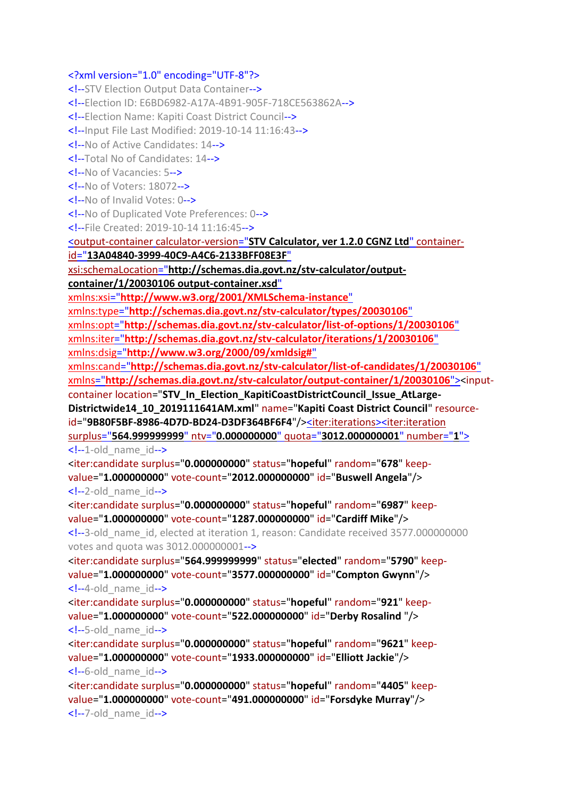### <?xml version="1.0" encoding="UTF-8"?>

<!--STV Election Output Data Container--> <!--Election ID: E6BD6982-A17A-4B91-905F-718CE563862A--> <!--Election Name: Kapiti Coast District Council--> <!--Input File Last Modified: 2019-10-14 11:16:43--> <!--No of Active Candidates: 14--> <!--Total No of Candidates: 14--> <!--No of Vacancies: 5--> <!--No of Voters: 18072--> <!--No of Invalid Votes: 0--> <!--No of Duplicated Vote Preferences: 0--> <!--File Created: 2019-10-14 11:16:45--> <output-container calculator-version="**[STV Calculator, ver 1.2.0 CGNZ Ltd](file:///C:/Program%20Files%20(x86)/STVCalculator/STVR/STV_Result_Election_KapitiCoastDistrictCouncil_Issue_AtLarge-Districtwide14_10_2019111641AM_N.xml)**" containerid="**[13A04840-3999-40C9-A4C6-2133BFF08E3F](file:///C:/Program%20Files%20(x86)/STVCalculator/STVR/STV_Result_Election_KapitiCoastDistrictCouncil_Issue_AtLarge-Districtwide14_10_2019111641AM_N.xml)**" xsi:schemaLocation="**[http://schemas.dia.govt.nz/stv-calculator/output](file:///C:/Program%20Files%20(x86)/STVCalculator/STVR/STV_Result_Election_KapitiCoastDistrictCouncil_Issue_AtLarge-Districtwide14_10_2019111641AM_N.xml)[container/1/20030106 output-container.xsd](file:///C:/Program%20Files%20(x86)/STVCalculator/STVR/STV_Result_Election_KapitiCoastDistrictCouncil_Issue_AtLarge-Districtwide14_10_2019111641AM_N.xml)**" xmlns:xsi="**[http://www.w3.org/2001/XMLSchema-instance](file:///C:/Program%20Files%20(x86)/STVCalculator/STVR/STV_Result_Election_KapitiCoastDistrictCouncil_Issue_AtLarge-Districtwide14_10_2019111641AM_N.xml)**" xmlns:type="**[http://schemas.dia.govt.nz/stv-calculator/types/20030106](file:///C:/Program%20Files%20(x86)/STVCalculator/STVR/STV_Result_Election_KapitiCoastDistrictCouncil_Issue_AtLarge-Districtwide14_10_2019111641AM_N.xml)**" xmlns:opt="**[http://schemas.dia.govt.nz/stv-calculator/list-of-options/1/20030106](file:///C:/Program%20Files%20(x86)/STVCalculator/STVR/STV_Result_Election_KapitiCoastDistrictCouncil_Issue_AtLarge-Districtwide14_10_2019111641AM_N.xml)**" xmlns:iter="**[http://schemas.dia.govt.nz/stv-calculator/iterations/1/20030106](file:///C:/Program%20Files%20(x86)/STVCalculator/STVR/STV_Result_Election_KapitiCoastDistrictCouncil_Issue_AtLarge-Districtwide14_10_2019111641AM_N.xml)**" xmlns:dsig="**[http://www.w3.org/2000/09/xmldsig#](file:///C:/Program%20Files%20(x86)/STVCalculator/STVR/STV_Result_Election_KapitiCoastDistrictCouncil_Issue_AtLarge-Districtwide14_10_2019111641AM_N.xml)**" xmlns:cand="**[http://schemas.dia.govt.nz/stv-calculator/list-of-candidates/1/20030106](file:///C:/Program%20Files%20(x86)/STVCalculator/STVR/STV_Result_Election_KapitiCoastDistrictCouncil_Issue_AtLarge-Districtwide14_10_2019111641AM_N.xml)**" xmlns="**[http://schemas.dia.govt.nz/stv-calculator/output-container/1/20030106](file:///C:/Program%20Files%20(x86)/STVCalculator/STVR/STV_Result_Election_KapitiCoastDistrictCouncil_Issue_AtLarge-Districtwide14_10_2019111641AM_N.xml)**"><inputcontainer location="**STV\_In\_Election\_KapitiCoastDistrictCouncil\_Issue\_AtLarge-Districtwide14\_10\_2019111641AM.xml**" name="**Kapiti Coast District Council**" resourceid="**9B80F5BF-8986-4D7D-BD24-D3DF364BF6F4**"/[><iter:iterations><iter:iteration](file:///C:/Program%20Files%20(x86)/STVCalculator/STVR/STV_Result_Election_KapitiCoastDistrictCouncil_Issue_AtLarge-Districtwide14_10_2019111641AM_N.xml) surplus="**564.999999999**" ntv="**0.000000000**" quota="**[3012.000000001](file:///C:/Program%20Files%20(x86)/STVCalculator/STVR/STV_Result_Election_KapitiCoastDistrictCouncil_Issue_AtLarge-Districtwide14_10_2019111641AM_N.xml)**" number="**1**"> <!--1-old\_name\_id--> <iter:candidate surplus="**0.000000000**" status="**hopeful**" random="**678**" keepvalue="**1.000000000**" vote-count="**2012.000000000**" id="**Buswell Angela**"/> <!--2-old\_name\_id--> <iter:candidate surplus="**0.000000000**" status="**hopeful**" random="**6987**" keepvalue="**1.000000000**" vote-count="**1287.000000000**" id="**Cardiff Mike**"/> <!--3-old\_name\_id, elected at iteration 1, reason: Candidate received 3577.000000000 votes and quota was 3012.000000001--> <iter:candidate surplus="**564.999999999**" status="**elected**" random="**5790**" keepvalue="**1.000000000**" vote-count="**3577.000000000**" id="**Compton Gwynn**"/>  $\leq$  --4-old name  $id$ --> <iter:candidate surplus="**0.000000000**" status="**hopeful**" random="**921**" keepvalue="**1.000000000**" vote-count="**522.000000000**" id="**Derby Rosalind** "/> <!--5-old\_name\_id--> <iter:candidate surplus="**0.000000000**" status="**hopeful**" random="**9621**" keepvalue="**1.000000000**" vote-count="**1933.000000000**" id="**Elliott Jackie**"/>  $\leq$  --6-old name  $id$ --> <iter:candidate surplus="**0.000000000**" status="**hopeful**" random="**4405**" keepvalue="**1.000000000**" vote-count="**491.000000000**" id="**Forsdyke Murray**"/> <!--7-old\_name\_id-->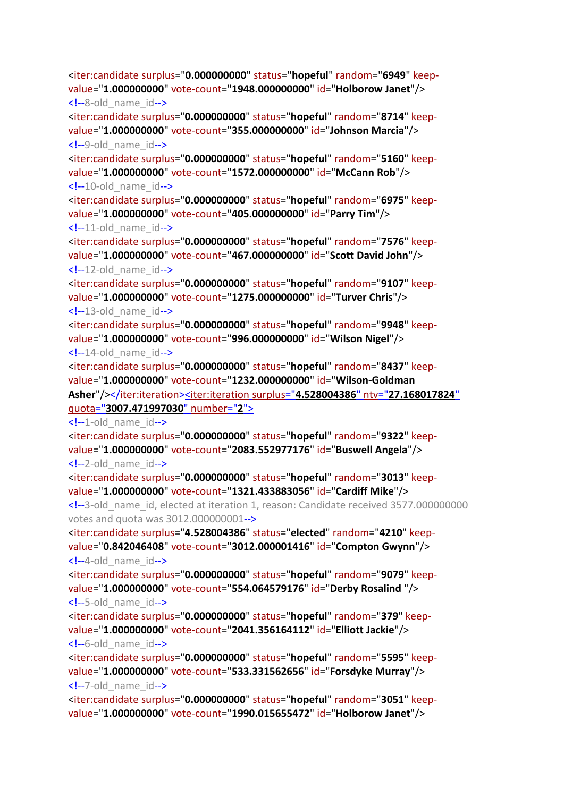<!--8-old\_name\_id--> <iter:candidate surplus="**0.000000000**" status="**hopeful**" random="**8714**" keepvalue="**1.000000000**" vote-count="**355.000000000**" id="**Johnson Marcia**"/>  $\leq$  --9-old name  $id$ --> <iter:candidate surplus="**0.000000000**" status="**hopeful**" random="**5160**" keepvalue="**1.000000000**" vote-count="**1572.000000000**" id="**McCann Rob**"/> <!--10-old\_name\_id--> <iter:candidate surplus="**0.000000000**" status="**hopeful**" random="**6975**" keepvalue="**1.000000000**" vote-count="**405.000000000**" id="**Parry Tim**"/>  $\leq$  --11-old name id--> <iter:candidate surplus="**0.000000000**" status="**hopeful**" random="**7576**" keepvalue="**1.000000000**" vote-count="**467.000000000**" id="**Scott David John**"/>  $\langle -12 \text{-old name id--} \rangle$ <iter:candidate surplus="**0.000000000**" status="**hopeful**" random="**9107**" keepvalue="**1.000000000**" vote-count="**1275.000000000**" id="**Turver Chris**"/>  $\leq$  --13-old name id--> <iter:candidate surplus="**0.000000000**" status="**hopeful**" random="**9948**" keepvalue="**1.000000000**" vote-count="**996.000000000**" id="**Wilson Nigel**"/>  $\leq$  --14-old name id--> <iter:candidate surplus="**0.000000000**" status="**hopeful**" random="**8437**" keepvalue="**1.000000000**" vote-count="**1232.000000000**" id="**Wilson-Goldman Asher**"/></iter:iteration[><iter:iteration](file:///C:/Program%20Files%20(x86)/STVCalculator/STVR/STV_Result_Election_KapitiCoastDistrictCouncil_Issue_AtLarge-Districtwide14_10_2019111641AM_N.xml) surplus="**4.528004386**" ntv="**27.168017824**" quota="**[3007.471997030](file:///C:/Program%20Files%20(x86)/STVCalculator/STVR/STV_Result_Election_KapitiCoastDistrictCouncil_Issue_AtLarge-Districtwide14_10_2019111641AM_N.xml)**" number="**2**">  $\leq$  --1-old name  $id$ --> <iter:candidate surplus="**0.000000000**" status="**hopeful**" random="**9322**" keepvalue="**1.000000000**" vote-count="**2083.552977176**" id="**Buswell Angela**"/> <!--2-old\_name\_id--> <iter:candidate surplus="**0.000000000**" status="**hopeful**" random="**3013**" keepvalue="**1.000000000**" vote-count="**1321.433883056**" id="**Cardiff Mike**"/> <!--3-old\_name\_id, elected at iteration 1, reason: Candidate received 3577.000000000 votes and quota was 3012.000000001--> <iter:candidate surplus="**4.528004386**" status="**elected**" random="**4210**" keepvalue="**0.842046408**" vote-count="**3012.000001416**" id="**Compton Gwynn**"/>  $\leq$  --4-old name id--> <iter:candidate surplus="**0.000000000**" status="**hopeful**" random="**9079**" keepvalue="**1.000000000**" vote-count="**554.064579176**" id="**Derby Rosalind** "/> <!--5-old\_name\_id--> <iter:candidate surplus="**0.000000000**" status="**hopeful**" random="**379**" keepvalue="**1.000000000**" vote-count="**2041.356164112**" id="**Elliott Jackie**"/>  $\leq$  --6-old name  $id$ --> <iter:candidate surplus="**0.000000000**" status="**hopeful**" random="**5595**" keepvalue="**1.000000000**" vote-count="**533.331562656**" id="**Forsdyke Murray**"/> <!--7-old\_name\_id--> <iter:candidate surplus="**0.000000000**" status="**hopeful**" random="**3051**" keepvalue="**1.000000000**" vote-count="**1990.015655472**" id="**Holborow Janet**"/>

<iter:candidate surplus="**0.000000000**" status="**hopeful**" random="**6949**" keepvalue="**1.000000000**" vote-count="**1948.000000000**" id="**Holborow Janet**"/>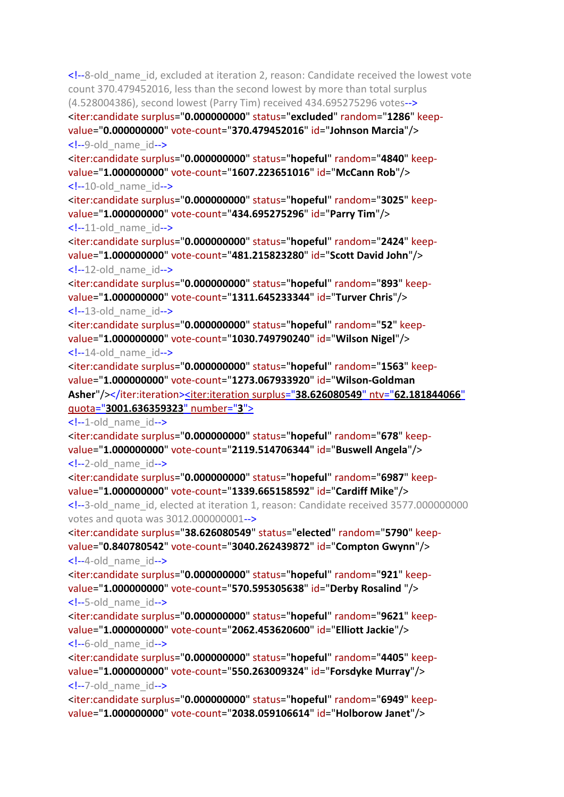<!--8-old\_name\_id, excluded at iteration 2, reason: Candidate received the lowest vote count 370.479452016, less than the second lowest by more than total surplus (4.528004386), second lowest (Parry Tim) received 434.695275296 votes--> <iter:candidate surplus="**0.000000000**" status="**excluded**" random="**1286**" keepvalue="**0.000000000**" vote-count="**370.479452016**" id="**Johnson Marcia**"/> <!--9-old\_name\_id--> <iter:candidate surplus="**0.000000000**" status="**hopeful**" random="**4840**" keepvalue="**1.000000000**" vote-count="**1607.223651016**" id="**McCann Rob**"/> <!--10-old\_name\_id--> <iter:candidate surplus="**0.000000000**" status="**hopeful**" random="**3025**" keepvalue="**1.000000000**" vote-count="**434.695275296**" id="**Parry Tim**"/>  $\leq$  --11-old name id--> <iter:candidate surplus="**0.000000000**" status="**hopeful**" random="**2424**" keepvalue="**1.000000000**" vote-count="**481.215823280**" id="**Scott David John**"/>  $\langle -12 \text{-old name id--} \rangle$ <iter:candidate surplus="**0.000000000**" status="**hopeful**" random="**893**" keepvalue="**1.000000000**" vote-count="**1311.645233344**" id="**Turver Chris**"/>  $\leq$  --13-old name id--> <iter:candidate surplus="**0.000000000**" status="**hopeful**" random="**52**" keepvalue="**1.000000000**" vote-count="**1030.749790240**" id="**Wilson Nigel**"/>  $\leq$  --14-old name id--> <iter:candidate surplus="**0.000000000**" status="**hopeful**" random="**1563**" keepvalue="**1.000000000**" vote-count="**1273.067933920**" id="**Wilson-Goldman Asher**"/></iter:iteration[><iter:iteration](file:///C:/Program%20Files%20(x86)/STVCalculator/STVR/STV_Result_Election_KapitiCoastDistrictCouncil_Issue_AtLarge-Districtwide14_10_2019111641AM_N.xml) surplus="**38.626080549**" ntv="**62.181844066**" quota="**[3001.636359323](file:///C:/Program%20Files%20(x86)/STVCalculator/STVR/STV_Result_Election_KapitiCoastDistrictCouncil_Issue_AtLarge-Districtwide14_10_2019111641AM_N.xml)**" number="**3**">  $\leq$  --1-old name  $id$ --> <iter:candidate surplus="**0.000000000**" status="**hopeful**" random="**678**" keepvalue="**1.000000000**" vote-count="**2119.514706344**" id="**Buswell Angela**"/> <!--2-old\_name\_id--> <iter:candidate surplus="**0.000000000**" status="**hopeful**" random="**6987**" keepvalue="**1.000000000**" vote-count="**1339.665158592**" id="**Cardiff Mike**"/> <!--3-old\_name\_id, elected at iteration 1, reason: Candidate received 3577.000000000 votes and quota was 3012.000000001--> <iter:candidate surplus="**38.626080549**" status="**elected**" random="**5790**" keepvalue="**0.840780542**" vote-count="**3040.262439872**" id="**Compton Gwynn**"/>  $\leq$  --4-old name id--> <iter:candidate surplus="**0.000000000**" status="**hopeful**" random="**921**" keepvalue="**1.000000000**" vote-count="**570.595305638**" id="**Derby Rosalind** "/> <!--5-old\_name\_id--> <iter:candidate surplus="**0.000000000**" status="**hopeful**" random="**9621**" keepvalue="**1.000000000**" vote-count="**2062.453620600**" id="**Elliott Jackie**"/>  $\leq$  --6-old name  $id$ --> <iter:candidate surplus="**0.000000000**" status="**hopeful**" random="**4405**" keepvalue="**1.000000000**" vote-count="**550.263009324**" id="**Forsdyke Murray**"/> <!--7-old\_name\_id--> <iter:candidate surplus="**0.000000000**" status="**hopeful**" random="**6949**" keepvalue="**1.000000000**" vote-count="**2038.059106614**" id="**Holborow Janet**"/>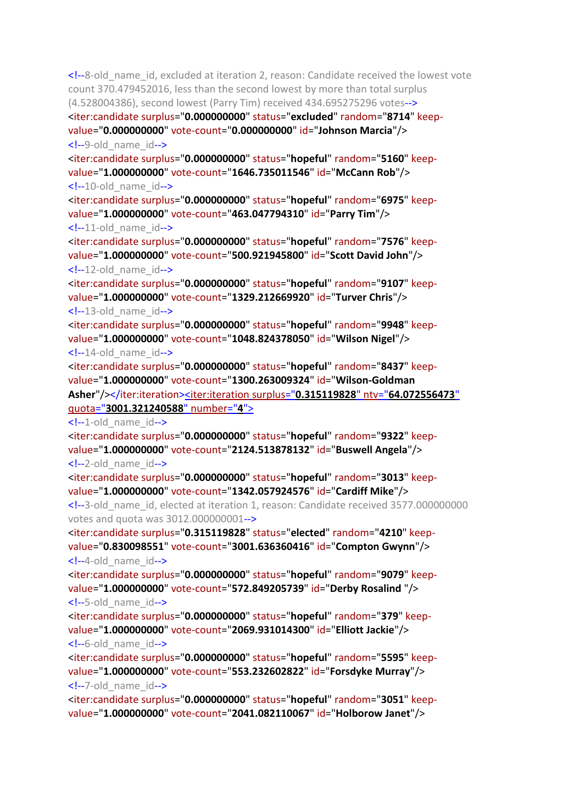<!--8-old\_name\_id, excluded at iteration 2, reason: Candidate received the lowest vote count 370.479452016, less than the second lowest by more than total surplus (4.528004386), second lowest (Parry Tim) received 434.695275296 votes--> <iter:candidate surplus="**0.000000000**" status="**excluded**" random="**8714**" keepvalue="**0.000000000**" vote-count="**0.000000000**" id="**Johnson Marcia**"/> <!--9-old\_name\_id--> <iter:candidate surplus="**0.000000000**" status="**hopeful**" random="**5160**" keepvalue="**1.000000000**" vote-count="**1646.735011546**" id="**McCann Rob**"/> <!--10-old\_name\_id--> <iter:candidate surplus="**0.000000000**" status="**hopeful**" random="**6975**" keepvalue="**1.000000000**" vote-count="**463.047794310**" id="**Parry Tim**"/>  $\leq$  --11-old name id--> <iter:candidate surplus="**0.000000000**" status="**hopeful**" random="**7576**" keepvalue="**1.000000000**" vote-count="**500.921945800**" id="**Scott David John**"/>  $\langle -12 \text{-old name id--} \rangle$ <iter:candidate surplus="**0.000000000**" status="**hopeful**" random="**9107**" keepvalue="**1.000000000**" vote-count="**1329.212669920**" id="**Turver Chris**"/>  $\leq$  --13-old name id--> <iter:candidate surplus="**0.000000000**" status="**hopeful**" random="**9948**" keepvalue="**1.000000000**" vote-count="**1048.824378050**" id="**Wilson Nigel**"/>  $\leq$  --14-old name id--> <iter:candidate surplus="**0.000000000**" status="**hopeful**" random="**8437**" keepvalue="**1.000000000**" vote-count="**1300.263009324**" id="**Wilson-Goldman Asher**"/></iter:iteration[><iter:iteration](file:///C:/Program%20Files%20(x86)/STVCalculator/STVR/STV_Result_Election_KapitiCoastDistrictCouncil_Issue_AtLarge-Districtwide14_10_2019111641AM_N.xml) surplus="**0.315119828**" ntv="**64.072556473**" quota="**[3001.321240588](file:///C:/Program%20Files%20(x86)/STVCalculator/STVR/STV_Result_Election_KapitiCoastDistrictCouncil_Issue_AtLarge-Districtwide14_10_2019111641AM_N.xml)**" number="**4**">  $\leq$  --1-old name  $id$ --> <iter:candidate surplus="**0.000000000**" status="**hopeful**" random="**9322**" keepvalue="**1.000000000**" vote-count="**2124.513878132**" id="**Buswell Angela**"/> <!--2-old\_name\_id--> <iter:candidate surplus="**0.000000000**" status="**hopeful**" random="**3013**" keepvalue="**1.000000000**" vote-count="**1342.057924576**" id="**Cardiff Mike**"/> <!--3-old\_name\_id, elected at iteration 1, reason: Candidate received 3577.000000000 votes and quota was 3012.000000001--> <iter:candidate surplus="**0.315119828**" status="**elected**" random="**4210**" keepvalue="**0.830098551**" vote-count="**3001.636360416**" id="**Compton Gwynn**"/>  $\leq$  --4-old name id--> <iter:candidate surplus="**0.000000000**" status="**hopeful**" random="**9079**" keepvalue="**1.000000000**" vote-count="**572.849205739**" id="**Derby Rosalind** "/> <!--5-old\_name\_id--> <iter:candidate surplus="**0.000000000**" status="**hopeful**" random="**379**" keepvalue="**1.000000000**" vote-count="**2069.931014300**" id="**Elliott Jackie**"/>  $\leq$  --6-old name  $id$ --> <iter:candidate surplus="**0.000000000**" status="**hopeful**" random="**5595**" keepvalue="**1.000000000**" vote-count="**553.232602822**" id="**Forsdyke Murray**"/> <!--7-old\_name\_id--> <iter:candidate surplus="**0.000000000**" status="**hopeful**" random="**3051**" keepvalue="**1.000000000**" vote-count="**2041.082110067**" id="**Holborow Janet**"/>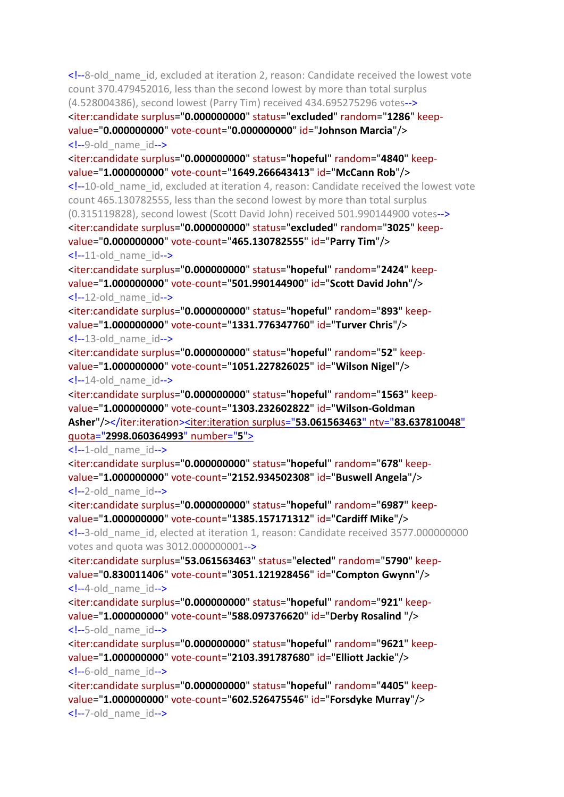<!--8-old\_name\_id, excluded at iteration 2, reason: Candidate received the lowest vote count 370.479452016, less than the second lowest by more than total surplus (4.528004386), second lowest (Parry Tim) received 434.695275296 votes--> <iter:candidate surplus="**0.000000000**" status="**excluded**" random="**1286**" keepvalue="**0.000000000**" vote-count="**0.000000000**" id="**Johnson Marcia**"/> <!--9-old\_name\_id--> <iter:candidate surplus="**0.000000000**" status="**hopeful**" random="**4840**" keepvalue="**1.000000000**" vote-count="**1649.266643413**" id="**McCann Rob**"/> <!--10-old\_name\_id, excluded at iteration 4, reason: Candidate received the lowest vote count 465.130782555, less than the second lowest by more than total surplus (0.315119828), second lowest (Scott David John) received 501.990144900 votes--> <iter:candidate surplus="**0.000000000**" status="**excluded**" random="**3025**" keepvalue="**0.000000000**" vote-count="**465.130782555**" id="**Parry Tim**"/>  $\leq$  --11-old name  $id$ --> <iter:candidate surplus="**0.000000000**" status="**hopeful**" random="**2424**" keepvalue="**1.000000000**" vote-count="**501.990144900**" id="**Scott David John**"/>  $\leq$  --12-old name  $id$ --> <iter:candidate surplus="**0.000000000**" status="**hopeful**" random="**893**" keepvalue="**1.000000000**" vote-count="**1331.776347760**" id="**Turver Chris**"/>  $\leq$  --13-old name  $id$ --> <iter:candidate surplus="**0.000000000**" status="**hopeful**" random="**52**" keepvalue="**1.000000000**" vote-count="**1051.227826025**" id="**Wilson Nigel**"/>  $\leq$  --14-old name id--> <iter:candidate surplus="**0.000000000**" status="**hopeful**" random="**1563**" keepvalue="**1.000000000**" vote-count="**1303.232602822**" id="**Wilson-Goldman Asher**"/></iter:iteration[><iter:iteration](file:///C:/Program%20Files%20(x86)/STVCalculator/STVR/STV_Result_Election_KapitiCoastDistrictCouncil_Issue_AtLarge-Districtwide14_10_2019111641AM_N.xml) surplus="**53.061563463**" ntv="**83.637810048**" quota="**[2998.060364993](file:///C:/Program%20Files%20(x86)/STVCalculator/STVR/STV_Result_Election_KapitiCoastDistrictCouncil_Issue_AtLarge-Districtwide14_10_2019111641AM_N.xml)**" number="**5**">  $\leq$  --1-old name  $id$ --> <iter:candidate surplus="**0.000000000**" status="**hopeful**" random="**678**" keepvalue="**1.000000000**" vote-count="**2152.934502308**" id="**Buswell Angela**"/> <!--2-old\_name\_id--> <iter:candidate surplus="**0.000000000**" status="**hopeful**" random="**6987**" keepvalue="**1.000000000**" vote-count="**1385.157171312**" id="**Cardiff Mike**"/> <!--3-old\_name\_id, elected at iteration 1, reason: Candidate received 3577.000000000 votes and quota was 3012.000000001--> <iter:candidate surplus="**53.061563463**" status="**elected**" random="**5790**" keepvalue="**0.830011406**" vote-count="**3051.121928456**" id="**Compton Gwynn**"/>  $\leq$  --4-old name  $id$ --> <iter:candidate surplus="**0.000000000**" status="**hopeful**" random="**921**" keepvalue="**1.000000000**" vote-count="**588.097376620**" id="**Derby Rosalind** "/>  $\leq$  --5-old name id--> <iter:candidate surplus="**0.000000000**" status="**hopeful**" random="**9621**" keepvalue="**1.000000000**" vote-count="**2103.391787680**" id="**Elliott Jackie**"/>  $\leq$  --6-old name  $id$ --> <iter:candidate surplus="**0.000000000**" status="**hopeful**" random="**4405**" keep-

value="**1.000000000**" vote-count="**602.526475546**" id="**Forsdyke Murray**"/> <!--7-old\_name\_id-->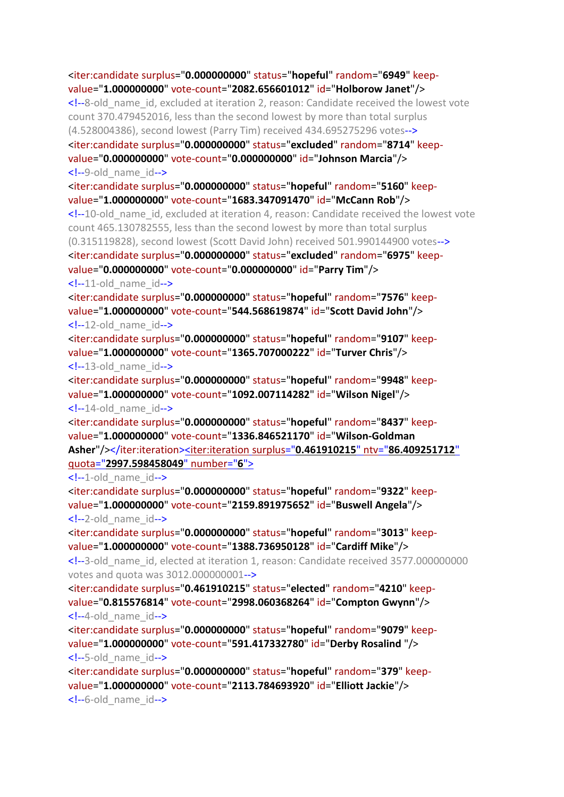<iter:candidate surplus="**0.000000000**" status="**hopeful**" random="**6949**" keepvalue="**1.000000000**" vote-count="**2082.656601012**" id="**Holborow Janet**"/> <!--8-old\_name\_id, excluded at iteration 2, reason: Candidate received the lowest vote count 370.479452016, less than the second lowest by more than total surplus (4.528004386), second lowest (Parry Tim) received 434.695275296 votes--> <iter:candidate surplus="**0.000000000**" status="**excluded**" random="**8714**" keepvalue="**0.000000000**" vote-count="**0.000000000**" id="**Johnson Marcia**"/> <!--9-old\_name\_id--> <iter:candidate surplus="**0.000000000**" status="**hopeful**" random="**5160**" keepvalue="**1.000000000**" vote-count="**1683.347091470**" id="**McCann Rob**"/> <!--10-old\_name\_id, excluded at iteration 4, reason: Candidate received the lowest vote count 465.130782555, less than the second lowest by more than total surplus (0.315119828), second lowest (Scott David John) received 501.990144900 votes--> <iter:candidate surplus="**0.000000000**" status="**excluded**" random="**6975**" keepvalue="**0.000000000**" vote-count="**0.000000000**" id="**Parry Tim**"/> <!--11-old\_name\_id--> <iter:candidate surplus="**0.000000000**" status="**hopeful**" random="**7576**" keepvalue="**1.000000000**" vote-count="**544.568619874**" id="**Scott David John**"/>  $\langle -12 \text{-old name id--} \rangle$ <iter:candidate surplus="**0.000000000**" status="**hopeful**" random="**9107**" keepvalue="**1.000000000**" vote-count="**1365.707000222**" id="**Turver Chris**"/> <!--13-old\_name\_id--> <iter:candidate surplus="**0.000000000**" status="**hopeful**" random="**9948**" keepvalue="**1.000000000**" vote-count="**1092.007114282**" id="**Wilson Nigel**"/>  $\leq$  --14-old name  $id$ --> <iter:candidate surplus="**0.000000000**" status="**hopeful**" random="**8437**" keepvalue="**1.000000000**" vote-count="**1336.846521170**" id="**Wilson-Goldman Asher**"/></iter:iteration[><iter:iteration](file:///C:/Program%20Files%20(x86)/STVCalculator/STVR/STV_Result_Election_KapitiCoastDistrictCouncil_Issue_AtLarge-Districtwide14_10_2019111641AM_N.xml) surplus="**0.461910215**" ntv="**86.409251712**" quota="**[2997.598458049](file:///C:/Program%20Files%20(x86)/STVCalculator/STVR/STV_Result_Election_KapitiCoastDistrictCouncil_Issue_AtLarge-Districtwide14_10_2019111641AM_N.xml)**" number="**6**">  $\leq$  --1-old name id--> <iter:candidate surplus="**0.000000000**" status="**hopeful**" random="**9322**" keepvalue="**1.000000000**" vote-count="**2159.891975652**" id="**Buswell Angela**"/> <!--2-old\_name\_id--> <iter:candidate surplus="**0.000000000**" status="**hopeful**" random="**3013**" keepvalue="**1.000000000**" vote-count="**1388.736950128**" id="**Cardiff Mike**"/> <!--3-old\_name\_id, elected at iteration 1, reason: Candidate received 3577.000000000 votes and quota was 3012.000000001--> <iter:candidate surplus="**0.461910215**" status="**elected**" random="**4210**" keepvalue="**0.815576814**" vote-count="**2998.060368264**" id="**Compton Gwynn**"/> <!--4-old\_name\_id--> <iter:candidate surplus="**0.000000000**" status="**hopeful**" random="**9079**" keepvalue="**1.000000000**" vote-count="**591.417332780**" id="**Derby Rosalind** "/> <!--5-old\_name\_id--> <iter:candidate surplus="**0.000000000**" status="**hopeful**" random="**379**" keepvalue="**1.000000000**" vote-count="**2113.784693920**" id="**Elliott Jackie**"/>

<!--6-old\_name\_id-->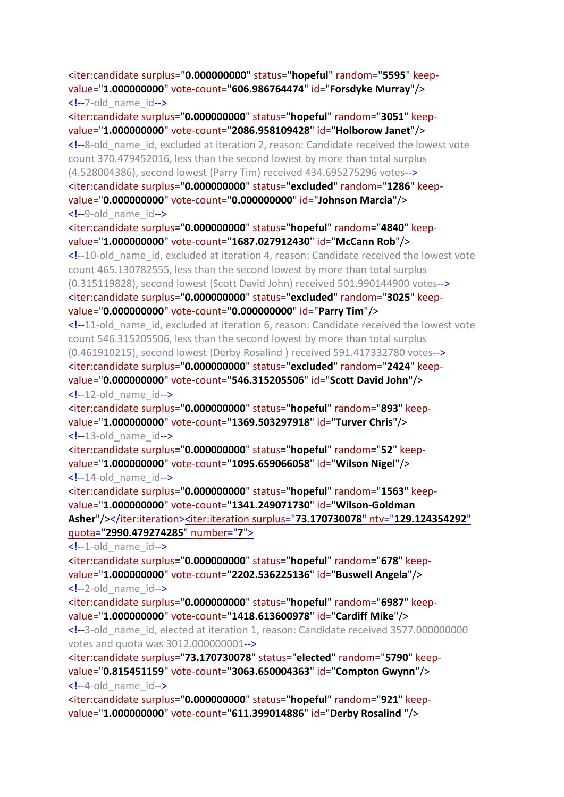# <iter:candidate surplus="**0.000000000**" status="**hopeful**" random="**5595**" keepvalue="**1.000000000**" vote-count="**606.986764474**" id="**Forsdyke Murray**"/> <!--7-old\_name\_id-->

<iter:candidate surplus="**0.000000000**" status="**hopeful**" random="**3051**" keepvalue="**1.000000000**" vote-count="**2086.958109428**" id="**Holborow Janet**"/> <!--8-old\_name\_id, excluded at iteration 2, reason: Candidate received the lowest vote count 370.479452016, less than the second lowest by more than total surplus (4.528004386), second lowest (Parry Tim) received 434.695275296 votes--> <iter:candidate surplus="**0.000000000**" status="**excluded**" random="**1286**" keepvalue="**0.000000000**" vote-count="**0.000000000**" id="**Johnson Marcia**"/> <!--9-old\_name\_id--> <iter:candidate surplus="**0.000000000**" status="**hopeful**" random="**4840**" keepvalue="**1.000000000**" vote-count="**1687.027912430**" id="**McCann Rob**"/> <!--10-old\_name\_id, excluded at iteration 4, reason: Candidate received the lowest vote count 465.130782555, less than the second lowest by more than total surplus (0.315119828), second lowest (Scott David John) received 501.990144900 votes--> <iter:candidate surplus="**0.000000000**" status="**excluded**" random="**3025**" keepvalue="**0.000000000**" vote-count="**0.000000000**" id="**Parry Tim**"/>  $\leq$  -11-old name id, excluded at iteration 6, reason: Candidate received the lowest vote count 546.315205506, less than the second lowest by more than total surplus (0.461910215), second lowest (Derby Rosalind ) received 591.417332780 votes--> <iter:candidate surplus="**0.000000000**" status="**excluded**" random="**2424**" keepvalue="**0.000000000**" vote-count="**546.315205506**" id="**Scott David John**"/>  $\langle -12 \text{-old name id--} \rangle$ <iter:candidate surplus="**0.000000000**" status="**hopeful**" random="**893**" keepvalue="**1.000000000**" vote-count="**1369.503297918**" id="**Turver Chris**"/>

 $\leq$  --13-old name id-->

<iter:candidate surplus="**0.000000000**" status="**hopeful**" random="**52**" keepvalue="**1.000000000**" vote-count="**1095.659066058**" id="**Wilson Nigel**"/>  $\langle -14$ -old name  $id$ -->

<iter:candidate surplus="**0.000000000**" status="**hopeful**" random="**1563**" keepvalue="**1.000000000**" vote-count="**1341.249071730**" id="**Wilson-Goldman Asher**"/></iter:iteration><iter:iteration surplus="**73.170730078**" ntv="**[129.124354292](file:///C:/Program%20Files%20(x86)/STVCalculator/STVR/STV_Result_Election_KapitiCoastDistrictCouncil_Issue_AtLarge-Districtwide14_10_2019111641AM_N.xml)**" quota="**[2990.479274285](file:///C:/Program%20Files%20(x86)/STVCalculator/STVR/STV_Result_Election_KapitiCoastDistrictCouncil_Issue_AtLarge-Districtwide14_10_2019111641AM_N.xml)**" number="**7**">

 $\leq$  --1-old name id-->

<iter:candidate surplus="**0.000000000**" status="**hopeful**" random="**678**" keepvalue="**1.000000000**" vote-count="**2202.536225136**" id="**Buswell Angela**"/>  $\leq$  --2-old name  $id$ -->

<iter:candidate surplus="**0.000000000**" status="**hopeful**" random="**6987**" keepvalue="**1.000000000**" vote-count="**1418.613600978**" id="**Cardiff Mike**"/>

<!--3-old\_name\_id, elected at iteration 1, reason: Candidate received 3577.000000000 votes and quota was 3012.000000001-->

<iter:candidate surplus="**73.170730078**" status="**elected**" random="**5790**" keepvalue="**0.815451159**" vote-count="**3063.650004363**" id="**Compton Gwynn**"/>  $\leftarrow$  -4-old name id-->

<iter:candidate surplus="**0.000000000**" status="**hopeful**" random="**921**" keepvalue="**1.000000000**" vote-count="**611.399014886**" id="**Derby Rosalind** "/>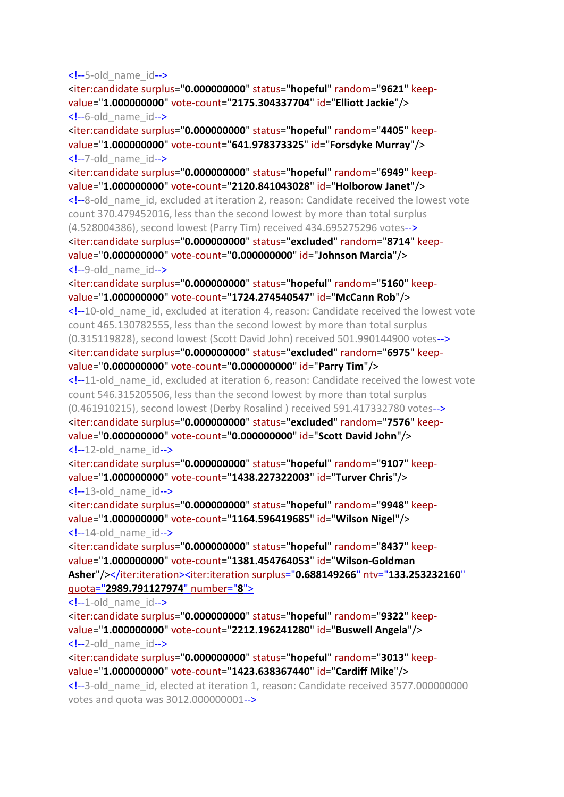#### <!--5-old\_name\_id-->

<iter:candidate surplus="**0.000000000**" status="**hopeful**" random="**9621**" keepvalue="**1.000000000**" vote-count="**2175.304337704**" id="**Elliott Jackie**"/> <!--6-old\_name\_id-->

<iter:candidate surplus="**0.000000000**" status="**hopeful**" random="**4405**" keepvalue="**1.000000000**" vote-count="**641.978373325**" id="**Forsdyke Murray**"/> <!--7-old\_name\_id-->

<iter:candidate surplus="**0.000000000**" status="**hopeful**" random="**6949**" keepvalue="**1.000000000**" vote-count="**2120.841043028**" id="**Holborow Janet**"/> <!--8-old\_name\_id, excluded at iteration 2, reason: Candidate received the lowest vote count 370.479452016, less than the second lowest by more than total surplus (4.528004386), second lowest (Parry Tim) received 434.695275296 votes--> <iter:candidate surplus="**0.000000000**" status="**excluded**" random="**8714**" keepvalue="**0.000000000**" vote-count="**0.000000000**" id="**Johnson Marcia**"/> <!--9-old\_name\_id-->

<iter:candidate surplus="**0.000000000**" status="**hopeful**" random="**5160**" keepvalue="**1.000000000**" vote-count="**1724.274540547**" id="**McCann Rob**"/>

<!--10-old\_name\_id, excluded at iteration 4, reason: Candidate received the lowest vote count 465.130782555, less than the second lowest by more than total surplus (0.315119828), second lowest (Scott David John) received 501.990144900 votes--> <iter:candidate surplus="**0.000000000**" status="**excluded**" random="**6975**" keep-

value="**0.000000000**" vote-count="**0.000000000**" id="**Parry Tim**"/>

<!--11-old name id, excluded at iteration 6, reason: Candidate received the lowest vote count 546.315205506, less than the second lowest by more than total surplus (0.461910215), second lowest (Derby Rosalind ) received 591.417332780 votes--> <iter:candidate surplus="**0.000000000**" status="**excluded**" random="**7576**" keepvalue="**0.000000000**" vote-count="**0.000000000**" id="**Scott David John**"/>

### $\langle -12 \text{-old name id--} \rangle$

<iter:candidate surplus="**0.000000000**" status="**hopeful**" random="**9107**" keepvalue="**1.000000000**" vote-count="**1438.227322003**" id="**Turver Chris**"/>  $\leq$  --13-old name  $id$ -->

<iter:candidate surplus="**0.000000000**" status="**hopeful**" random="**9948**" keepvalue="**1.000000000**" vote-count="**1164.596419685**" id="**Wilson Nigel**"/> <!--14-old\_name\_id-->

<iter:candidate surplus="**0.000000000**" status="**hopeful**" random="**8437**" keepvalue="**1.000000000**" vote-count="**1381.454764053**" id="**Wilson-Goldman Asher**"/></iter:iteration><iter:iteration surplus="**0.688149266**" ntv="**[133.253232160](file:///C:/Program%20Files%20(x86)/STVCalculator/STVR/STV_Result_Election_KapitiCoastDistrictCouncil_Issue_AtLarge-Districtwide14_10_2019111641AM_N.xml)**" quota="**[2989.791127974](file:///C:/Program%20Files%20(x86)/STVCalculator/STVR/STV_Result_Election_KapitiCoastDistrictCouncil_Issue_AtLarge-Districtwide14_10_2019111641AM_N.xml)**" number="**8**">

 $\leq$  --1-old name id-->

<iter:candidate surplus="**0.000000000**" status="**hopeful**" random="**9322**" keepvalue="**1.000000000**" vote-count="**2212.196241280**" id="**Buswell Angela**"/> <!--2-old\_name\_id-->

<iter:candidate surplus="**0.000000000**" status="**hopeful**" random="**3013**" keepvalue="**1.000000000**" vote-count="**1423.638367440**" id="**Cardiff Mike**"/>

<!--3-old\_name\_id, elected at iteration 1, reason: Candidate received 3577.000000000 votes and quota was 3012.000000001-->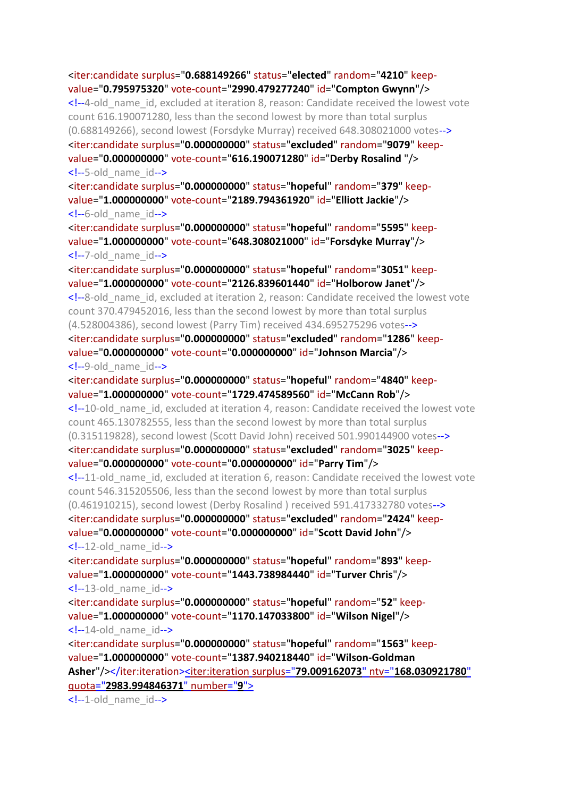<iter:candidate surplus="**0.688149266**" status="**elected**" random="**4210**" keepvalue="**0.795975320**" vote-count="**2990.479277240**" id="**Compton Gwynn**"/> <!--4-old\_name\_id, excluded at iteration 8, reason: Candidate received the lowest vote count 616.190071280, less than the second lowest by more than total surplus (0.688149266), second lowest (Forsdyke Murray) received 648.308021000 votes--> <iter:candidate surplus="**0.000000000**" status="**excluded**" random="**9079**" keepvalue="**0.000000000**" vote-count="**616.190071280**" id="**Derby Rosalind** "/> <!--5-old\_name\_id--> <iter:candidate surplus="**0.000000000**" status="**hopeful**" random="**379**" keepvalue="**1.000000000**" vote-count="**2189.794361920**" id="**Elliott Jackie**"/>  $\leq$  --6-old name  $id$ --> <iter:candidate surplus="**0.000000000**" status="**hopeful**" random="**5595**" keepvalue="**1.000000000**" vote-count="**648.308021000**" id="**Forsdyke Murray**"/> <!--7-old\_name\_id--> <iter:candidate surplus="**0.000000000**" status="**hopeful**" random="**3051**" keepvalue="**1.000000000**" vote-count="**2126.839601440**" id="**Holborow Janet**"/> <!--8-old\_name\_id, excluded at iteration 2, reason: Candidate received the lowest vote count 370.479452016, less than the second lowest by more than total surplus (4.528004386), second lowest (Parry Tim) received 434.695275296 votes--> <iter:candidate surplus="**0.000000000**" status="**excluded**" random="**1286**" keepvalue="**0.000000000**" vote-count="**0.000000000**" id="**Johnson Marcia**"/> <!--9-old\_name\_id--> <iter:candidate surplus="**0.000000000**" status="**hopeful**" random="**4840**" keepvalue="**1.000000000**" vote-count="**1729.474589560**" id="**McCann Rob**"/> <!--10-old\_name\_id, excluded at iteration 4, reason: Candidate received the lowest vote count 465.130782555, less than the second lowest by more than total surplus (0.315119828), second lowest (Scott David John) received 501.990144900 votes--> <iter:candidate surplus="**0.000000000**" status="**excluded**" random="**3025**" keepvalue="**0.000000000**" vote-count="**0.000000000**" id="**Parry Tim**"/> <!--11-old\_name\_id, excluded at iteration 6, reason: Candidate received the lowest vote count 546.315205506, less than the second lowest by more than total surplus (0.461910215), second lowest (Derby Rosalind ) received 591.417332780 votes--> <iter:candidate surplus="**0.000000000**" status="**excluded**" random="**2424**" keepvalue="**0.000000000**" vote-count="**0.000000000**" id="**Scott David John**"/>  $\leq$  --12-old name  $id$ --> <iter:candidate surplus="**0.000000000**" status="**hopeful**" random="**893**" keepvalue="**1.000000000**" vote-count="**1443.738984440**" id="**Turver Chris**"/>  $\leq$  --13-old name  $id$ --> <iter:candidate surplus="**0.000000000**" status="**hopeful**" random="**52**" keepvalue="**1.000000000**" vote-count="**1170.147033800**" id="**Wilson Nigel**"/>  $\leq$  --14-old name id--> <iter:candidate surplus="**0.000000000**" status="**hopeful**" random="**1563**" keepvalue="**1.000000000**" vote-count="**1387.940218440**" id="**Wilson-Goldman Asher**"/></iter:iteration><iter:iteration surplus="**79.009162073**" ntv="**[168.030921780](file:///C:/Program%20Files%20(x86)/STVCalculator/STVR/STV_Result_Election_KapitiCoastDistrictCouncil_Issue_AtLarge-Districtwide14_10_2019111641AM_N.xml)**"

quota="**[2983.994846371](file:///C:/Program%20Files%20(x86)/STVCalculator/STVR/STV_Result_Election_KapitiCoastDistrictCouncil_Issue_AtLarge-Districtwide14_10_2019111641AM_N.xml)**" number="**9**">

<!--1-old\_name\_id-->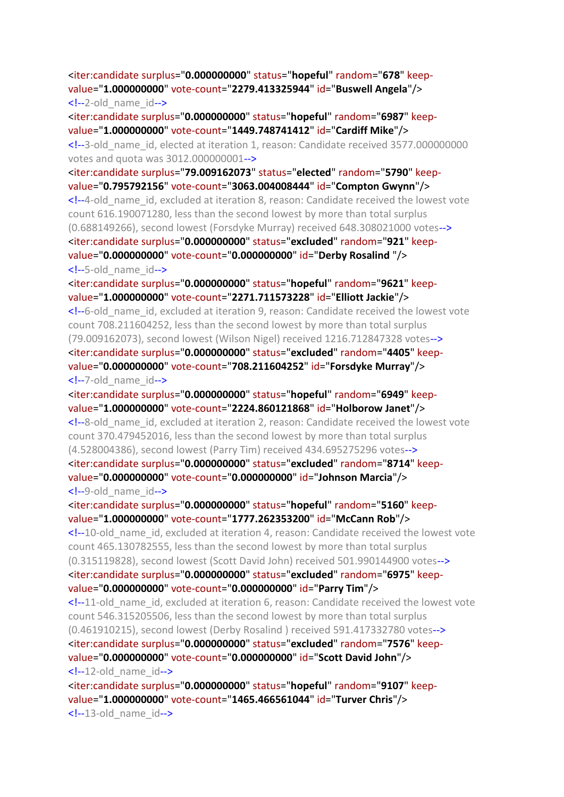<iter:candidate surplus="**0.000000000**" status="**hopeful**" random="**678**" keepvalue="**1.000000000**" vote-count="**2279.413325944**" id="**Buswell Angela**"/> <!--2-old\_name\_id-->

<iter:candidate surplus="**0.000000000**" status="**hopeful**" random="**6987**" keepvalue="**1.000000000**" vote-count="**1449.748741412**" id="**Cardiff Mike**"/> <!--3-old\_name\_id, elected at iteration 1, reason: Candidate received 3577.000000000 votes and quota was 3012.000000001-->

<iter:candidate surplus="**79.009162073**" status="**elected**" random="**5790**" keepvalue="**0.795792156**" vote-count="**3063.004008444**" id="**Compton Gwynn**"/> <!--4-old\_name\_id, excluded at iteration 8, reason: Candidate received the lowest vote count 616.190071280, less than the second lowest by more than total surplus (0.688149266), second lowest (Forsdyke Murray) received 648.308021000 votes--> <iter:candidate surplus="**0.000000000**" status="**excluded**" random="**921**" keepvalue="**0.000000000**" vote-count="**0.000000000**" id="**Derby Rosalind** "/> <!--5-old\_name\_id-->

<iter:candidate surplus="**0.000000000**" status="**hopeful**" random="**9621**" keepvalue="**1.000000000**" vote-count="**2271.711573228**" id="**Elliott Jackie**"/> <!--6-old\_name\_id, excluded at iteration 9, reason: Candidate received the lowest vote count 708.211604252, less than the second lowest by more than total surplus (79.009162073), second lowest (Wilson Nigel) received 1216.712847328 votes--> <iter:candidate surplus="**0.000000000**" status="**excluded**" random="**4405**" keepvalue="**0.000000000**" vote-count="**708.211604252**" id="**Forsdyke Murray**"/> <!--7-old\_name\_id-->

<iter:candidate surplus="**0.000000000**" status="**hopeful**" random="**6949**" keepvalue="**1.000000000**" vote-count="**2224.860121868**" id="**Holborow Janet**"/>

<!--8-old\_name\_id, excluded at iteration 2, reason: Candidate received the lowest vote count 370.479452016, less than the second lowest by more than total surplus (4.528004386), second lowest (Parry Tim) received 434.695275296 votes--> <iter:candidate surplus="**0.000000000**" status="**excluded**" random="**8714**" keep-

value="**0.000000000**" vote-count="**0.000000000**" id="**Johnson Marcia**"/> <!--9-old\_name\_id-->

<iter:candidate surplus="**0.000000000**" status="**hopeful**" random="**5160**" keepvalue="**1.000000000**" vote-count="**1777.262353200**" id="**McCann Rob**"/>

<!--10-old\_name\_id, excluded at iteration 4, reason: Candidate received the lowest vote count 465.130782555, less than the second lowest by more than total surplus (0.315119828), second lowest (Scott David John) received 501.990144900 votes--> <iter:candidate surplus="**0.000000000**" status="**excluded**" random="**6975**" keepvalue="**0.000000000**" vote-count="**0.000000000**" id="**Parry Tim**"/>

<!--11-old\_name\_id, excluded at iteration 6, reason: Candidate received the lowest vote count 546.315205506, less than the second lowest by more than total surplus (0.461910215), second lowest (Derby Rosalind ) received 591.417332780 votes--> <iter:candidate surplus="**0.000000000**" status="**excluded**" random="**7576**" keepvalue="**0.000000000**" vote-count="**0.000000000**" id="**Scott David John**"/> <!--12-old\_name\_id-->

<iter:candidate surplus="**0.000000000**" status="**hopeful**" random="**9107**" keepvalue="**1.000000000**" vote-count="**1465.466561044**" id="**Turver Chris**"/>  $\leq$  --13-old name  $id$ -->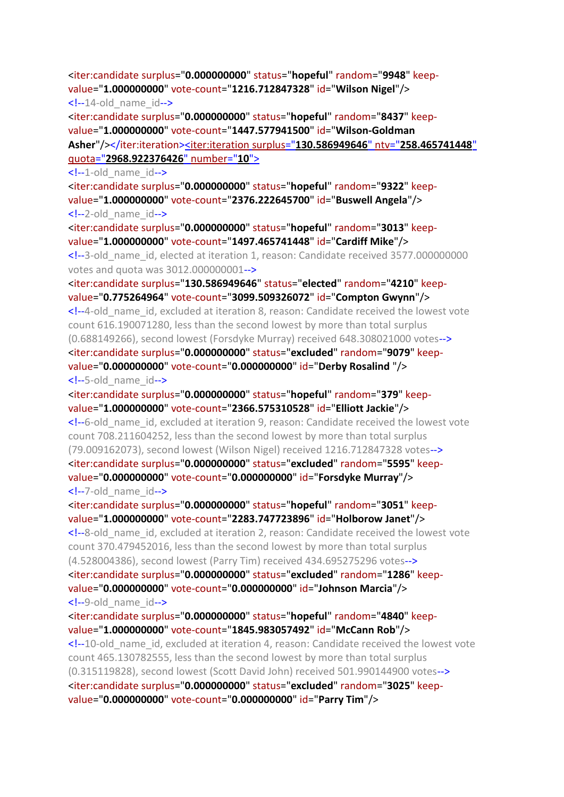<iter:candidate surplus="**0.000000000**" status="**hopeful**" random="**9948**" keepvalue="**1.000000000**" vote-count="**1216.712847328**" id="**Wilson Nigel**"/>  $\leq$  --14-old name  $id$ --> <iter:candidate surplus="**0.000000000**" status="**hopeful**" random="**8437**" keepvalue="**1.000000000**" vote-count="**1447.577941500**" id="**Wilson-Goldman Asher**"/></iter:iteration><iter:iteration surplus="**[130.586949646](file:///C:/Program%20Files%20(x86)/STVCalculator/STVR/STV_Result_Election_KapitiCoastDistrictCouncil_Issue_AtLarge-Districtwide14_10_2019111641AM_N.xml)**" ntv="**258.465741448**" quota="**[2968.922376426](file:///C:/Program%20Files%20(x86)/STVCalculator/STVR/STV_Result_Election_KapitiCoastDistrictCouncil_Issue_AtLarge-Districtwide14_10_2019111641AM_N.xml)**" number="**10**">  $\leq$  --1-old name id--> <iter:candidate surplus="**0.000000000**" status="**hopeful**" random="**9322**" keepvalue="**1.000000000**" vote-count="**2376.222645700**" id="**Buswell Angela**"/>  $\leq$  --2-old name  $id$ --> <iter:candidate surplus="**0.000000000**" status="**hopeful**" random="**3013**" keepvalue="**1.000000000**" vote-count="**1497.465741448**" id="**Cardiff Mike**"/> <!--3-old\_name\_id, elected at iteration 1, reason: Candidate received 3577.000000000 votes and quota was 3012.000000001--> <iter:candidate surplus="**130.586949646**" status="**elected**" random="**4210**" keepvalue="**0.775264964**" vote-count="**3099.509326072**" id="**Compton Gwynn**"/> <!--4-old\_name\_id, excluded at iteration 8, reason: Candidate received the lowest vote count 616.190071280, less than the second lowest by more than total surplus (0.688149266), second lowest (Forsdyke Murray) received 648.308021000 votes--> <iter:candidate surplus="**0.000000000**" status="**excluded**" random="**9079**" keepvalue="**0.000000000**" vote-count="**0.000000000**" id="**Derby Rosalind** "/> <!--5-old\_name\_id--> <iter:candidate surplus="**0.000000000**" status="**hopeful**" random="**379**" keepvalue="**1.000000000**" vote-count="**2366.575310528**" id="**Elliott Jackie**"/> <!--6-old\_name\_id, excluded at iteration 9, reason: Candidate received the lowest vote count 708.211604252, less than the second lowest by more than total surplus (79.009162073), second lowest (Wilson Nigel) received 1216.712847328 votes--> <iter:candidate surplus="**0.000000000**" status="**excluded**" random="**5595**" keepvalue="**0.000000000**" vote-count="**0.000000000**" id="**Forsdyke Murray**"/> <!--7-old\_name\_id--> <iter:candidate surplus="**0.000000000**" status="**hopeful**" random="**3051**" keepvalue="**1.000000000**" vote-count="**2283.747723896**" id="**Holborow Janet**"/> <!--8-old\_name\_id, excluded at iteration 2, reason: Candidate received the lowest vote count 370.479452016, less than the second lowest by more than total surplus (4.528004386), second lowest (Parry Tim) received 434.695275296 votes--> <iter:candidate surplus="**0.000000000**" status="**excluded**" random="**1286**" keepvalue="**0.000000000**" vote-count="**0.000000000**" id="**Johnson Marcia**"/> <!--9-old\_name\_id--> <iter:candidate surplus="**0.000000000**" status="**hopeful**" random="**4840**" keepvalue="**1.000000000**" vote-count="**1845.983057492**" id="**McCann Rob**"/>

<!--10-old\_name\_id, excluded at iteration 4, reason: Candidate received the lowest vote count 465.130782555, less than the second lowest by more than total surplus (0.315119828), second lowest (Scott David John) received 501.990144900 votes--> <iter:candidate surplus="**0.000000000**" status="**excluded**" random="**3025**" keepvalue="**0.000000000**" vote-count="**0.000000000**" id="**Parry Tim**"/>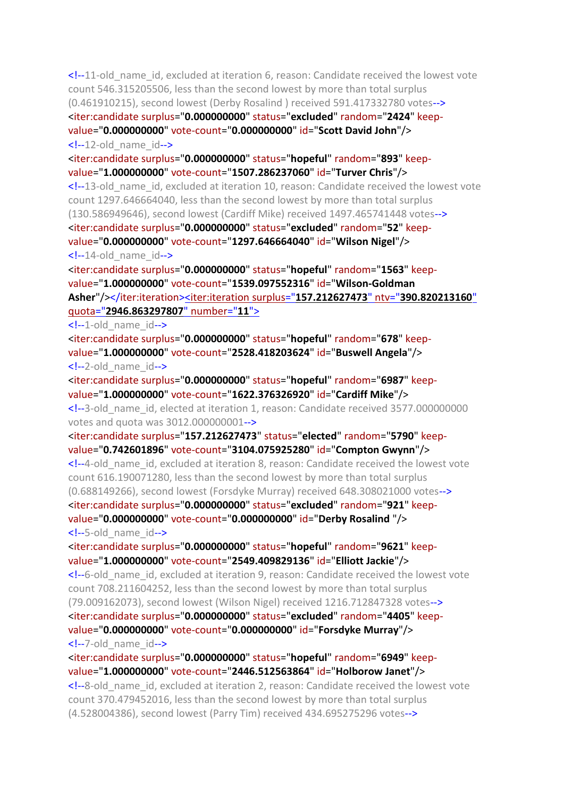<!--11-old\_name\_id, excluded at iteration 6, reason: Candidate received the lowest vote count 546.315205506, less than the second lowest by more than total surplus (0.461910215), second lowest (Derby Rosalind ) received 591.417332780 votes--> <iter:candidate surplus="**0.000000000**" status="**excluded**" random="**2424**" keepvalue="**0.000000000**" vote-count="**0.000000000**" id="**Scott David John**"/>  $\leq$  --12-old name  $id$ -->

<iter:candidate surplus="**0.000000000**" status="**hopeful**" random="**893**" keepvalue="**1.000000000**" vote-count="**1507.286237060**" id="**Turver Chris**"/> <!--13-old\_name\_id, excluded at iteration 10, reason: Candidate received the lowest vote count 1297.646664040, less than the second lowest by more than total surplus (130.586949646), second lowest (Cardiff Mike) received 1497.465741448 votes--> <iter:candidate surplus="**0.000000000**" status="**excluded**" random="**52**" keepvalue="**0.000000000**" vote-count="**1297.646664040**" id="**Wilson Nigel**"/>  $\leq$  --14-old name  $id$ -->

<iter:candidate surplus="**0.000000000**" status="**hopeful**" random="**1563**" keepvalue="**1.000000000**" vote-count="**1539.097552316**" id="**Wilson-Goldman Asher**"/></iter:iteration><iter:iteration surplus="**[157.212627473](file:///C:/Program%20Files%20(x86)/STVCalculator/STVR/STV_Result_Election_KapitiCoastDistrictCouncil_Issue_AtLarge-Districtwide14_10_2019111641AM_N.xml)**" ntv="**390.820213160**" quota="**[2946.863297807](file:///C:/Program%20Files%20(x86)/STVCalculator/STVR/STV_Result_Election_KapitiCoastDistrictCouncil_Issue_AtLarge-Districtwide14_10_2019111641AM_N.xml)**" number="**11**">

 $\langle -1$ -old name  $id$ -->

<iter:candidate surplus="**0.000000000**" status="**hopeful**" random="**678**" keepvalue="**1.000000000**" vote-count="**2528.418203624**" id="**Buswell Angela**"/> <!--2-old\_name\_id-->

<iter:candidate surplus="**0.000000000**" status="**hopeful**" random="**6987**" keepvalue="**1.000000000**" vote-count="**1622.376326920**" id="**Cardiff Mike**"/> <!--3-old\_name\_id, elected at iteration 1, reason: Candidate received 3577.000000000 votes and quota was 3012.000000001-->

<iter:candidate surplus="**157.212627473**" status="**elected**" random="**5790**" keepvalue="**0.742601896**" vote-count="**3104.075925280**" id="**Compton Gwynn**"/> <!--4-old\_name\_id, excluded at iteration 8, reason: Candidate received the lowest vote count 616.190071280, less than the second lowest by more than total surplus (0.688149266), second lowest (Forsdyke Murray) received 648.308021000 votes--> <iter:candidate surplus="**0.000000000**" status="**excluded**" random="**921**" keepvalue="**0.000000000**" vote-count="**0.000000000**" id="**Derby Rosalind** "/> <!--5-old\_name\_id-->

<iter:candidate surplus="**0.000000000**" status="**hopeful**" random="**9621**" keepvalue="**1.000000000**" vote-count="**2549.409829136**" id="**Elliott Jackie**"/> <!--6-old\_name\_id, excluded at iteration 9, reason: Candidate received the lowest vote count 708.211604252, less than the second lowest by more than total surplus (79.009162073), second lowest (Wilson Nigel) received 1216.712847328 votes--> <iter:candidate surplus="**0.000000000**" status="**excluded**" random="**4405**" keepvalue="**0.000000000**" vote-count="**0.000000000**" id="**Forsdyke Murray**"/> <!--7-old\_name\_id-->

<iter:candidate surplus="**0.000000000**" status="**hopeful**" random="**6949**" keepvalue="**1.000000000**" vote-count="**2446.512563864**" id="**Holborow Janet**"/>

<!--8-old\_name\_id, excluded at iteration 2, reason: Candidate received the lowest vote count 370.479452016, less than the second lowest by more than total surplus (4.528004386), second lowest (Parry Tim) received 434.695275296 votes-->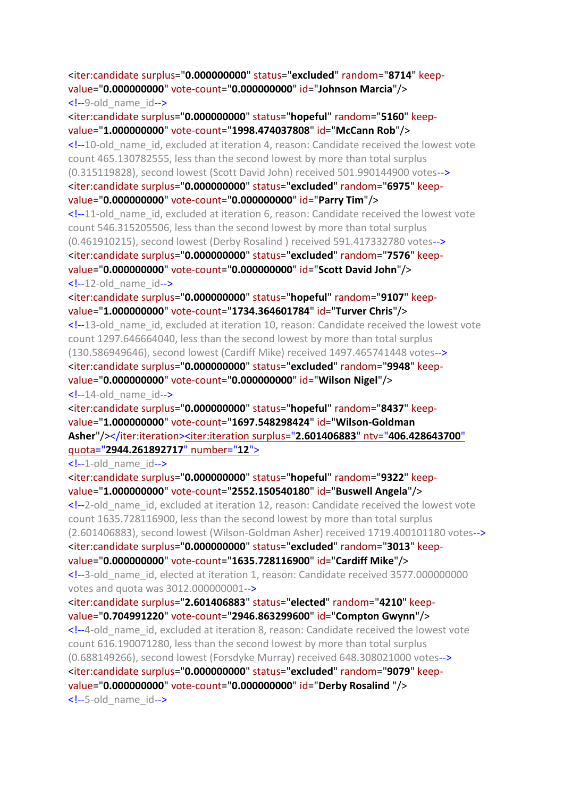# <iter:candidate surplus="**0.000000000**" status="**excluded**" random="**8714**" keepvalue="**0.000000000**" vote-count="**0.000000000**" id="**Johnson Marcia**"/> <!--9-old\_name\_id-->

<iter:candidate surplus="**0.000000000**" status="**hopeful**" random="**5160**" keepvalue="**1.000000000**" vote-count="**1998.474037808**" id="**McCann Rob**"/> <!--10-old\_name\_id, excluded at iteration 4, reason: Candidate received the lowest vote count 465.130782555, less than the second lowest by more than total surplus (0.315119828), second lowest (Scott David John) received 501.990144900 votes--> <iter:candidate surplus="**0.000000000**" status="**excluded**" random="**6975**" keepvalue="**0.000000000**" vote-count="**0.000000000**" id="**Parry Tim**"/> <!--11-old\_name\_id, excluded at iteration 6, reason: Candidate received the lowest vote count 546.315205506, less than the second lowest by more than total surplus (0.461910215), second lowest (Derby Rosalind ) received 591.417332780 votes--> <iter:candidate surplus="**0.000000000**" status="**excluded**" random="**7576**" keepvalue="**0.000000000**" vote-count="**0.000000000**" id="**Scott David John**"/>  $\leq$  --12-old name  $id$ -->

<iter:candidate surplus="**0.000000000**" status="**hopeful**" random="**9107**" keepvalue="**1.000000000**" vote-count="**1734.364601784**" id="**Turver Chris**"/>

<!--13-old\_name\_id, excluded at iteration 10, reason: Candidate received the lowest vote count 1297.646664040, less than the second lowest by more than total surplus (130.586949646), second lowest (Cardiff Mike) received 1497.465741448 votes--> <iter:candidate surplus="**0.000000000**" status="**excluded**" random="**9948**" keepvalue="**0.000000000**" vote-count="**0.000000000**" id="**Wilson Nigel**"/>

 $\langle -14$ -old name  $id$ -->

<iter:candidate surplus="**0.000000000**" status="**hopeful**" random="**8437**" keepvalue="**1.000000000**" vote-count="**1697.548298424**" id="**Wilson-Goldman Asher**"/></iter:iteration><iter:iteration surplus="**2.601406883**" ntv="**[406.428643700](file:///C:/Program%20Files%20(x86)/STVCalculator/STVR/STV_Result_Election_KapitiCoastDistrictCouncil_Issue_AtLarge-Districtwide14_10_2019111641AM_N.xml)**" quota="**[2944.261892717](file:///C:/Program%20Files%20(x86)/STVCalculator/STVR/STV_Result_Election_KapitiCoastDistrictCouncil_Issue_AtLarge-Districtwide14_10_2019111641AM_N.xml)**" number="**12**">

 $\leq$  --1-old name  $id$ -->

<iter:candidate surplus="**0.000000000**" status="**hopeful**" random="**9322**" keepvalue="**1.000000000**" vote-count="**2552.150540180**" id="**Buswell Angela**"/>

<!--2-old\_name\_id, excluded at iteration 12, reason: Candidate received the lowest vote count 1635.728116900, less than the second lowest by more than total surplus (2.601406883), second lowest (Wilson-Goldman Asher) received 1719.400101180 votes--> <iter:candidate surplus="**0.000000000**" status="**excluded**" random="**3013**" keep-

value="**0.000000000**" vote-count="**1635.728116900**" id="**Cardiff Mike**"/>

<!--3-old\_name\_id, elected at iteration 1, reason: Candidate received 3577.000000000 votes and quota was 3012.000000001-->

<iter:candidate surplus="**2.601406883**" status="**elected**" random="**4210**" keepvalue="**0.704991220**" vote-count="**2946.863299600**" id="**Compton Gwynn**"/>

<!--4-old\_name\_id, excluded at iteration 8, reason: Candidate received the lowest vote count 616.190071280, less than the second lowest by more than total surplus (0.688149266), second lowest (Forsdyke Murray) received 648.308021000 votes--> <iter:candidate surplus="**0.000000000**" status="**excluded**" random="**9079**" keepvalue="**0.000000000**" vote-count="**0.000000000**" id="**Derby Rosalind** "/> <!--5-old\_name\_id-->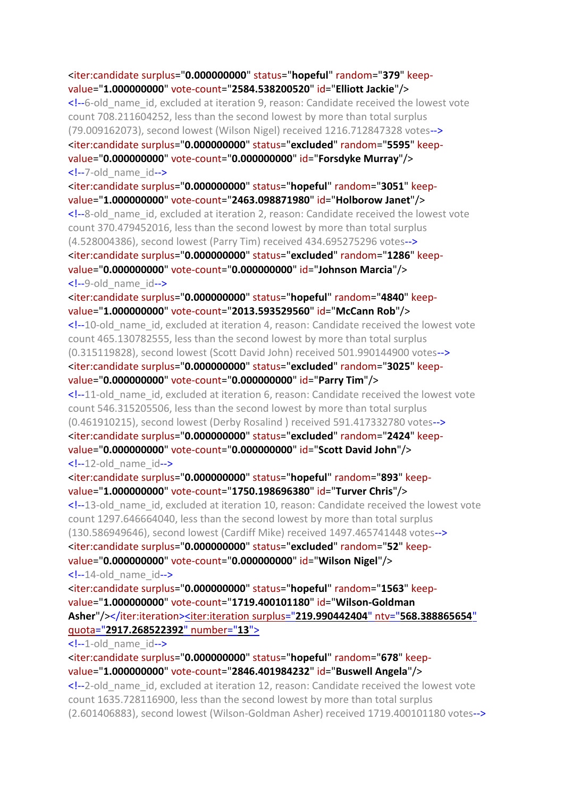<iter:candidate surplus="**0.000000000**" status="**hopeful**" random="**379**" keepvalue="**1.000000000**" vote-count="**2584.538200520**" id="**Elliott Jackie**"/> <!--6-old\_name\_id, excluded at iteration 9, reason: Candidate received the lowest vote count 708.211604252, less than the second lowest by more than total surplus (79.009162073), second lowest (Wilson Nigel) received 1216.712847328 votes--> <iter:candidate surplus="**0.000000000**" status="**excluded**" random="**5595**" keepvalue="**0.000000000**" vote-count="**0.000000000**" id="**Forsdyke Murray**"/> <!--7-old\_name\_id--> <iter:candidate surplus="**0.000000000**" status="**hopeful**" random="**3051**" keepvalue="**1.000000000**" vote-count="**2463.098871980**" id="**Holborow Janet**"/> <!--8-old\_name\_id, excluded at iteration 2, reason: Candidate received the lowest vote count 370.479452016, less than the second lowest by more than total surplus (4.528004386), second lowest (Parry Tim) received 434.695275296 votes--> <iter:candidate surplus="**0.000000000**" status="**excluded**" random="**1286**" keepvalue="**0.000000000**" vote-count="**0.000000000**" id="**Johnson Marcia**"/> <!--9-old\_name\_id--> <iter:candidate surplus="**0.000000000**" status="**hopeful**" random="**4840**" keepvalue="**1.000000000**" vote-count="**2013.593529560**" id="**McCann Rob**"/> <!--10-old\_name\_id, excluded at iteration 4, reason: Candidate received the lowest vote count 465.130782555, less than the second lowest by more than total surplus (0.315119828), second lowest (Scott David John) received 501.990144900 votes--> <iter:candidate surplus="**0.000000000**" status="**excluded**" random="**3025**" keepvalue="**0.000000000**" vote-count="**0.000000000**" id="**Parry Tim**"/> <!--11-old\_name\_id, excluded at iteration 6, reason: Candidate received the lowest vote count 546.315205506, less than the second lowest by more than total surplus (0.461910215), second lowest (Derby Rosalind ) received 591.417332780 votes--> <iter:candidate surplus="**0.000000000**" status="**excluded**" random="**2424**" keepvalue="**0.000000000**" vote-count="**0.000000000**" id="**Scott David John**"/>  $\leq$  --12-old name  $id$ --> <iter:candidate surplus="**0.000000000**" status="**hopeful**" random="**893**" keepvalue="**1.000000000**" vote-count="**1750.198696380**" id="**Turver Chris**"/> <!--13-old\_name\_id, excluded at iteration 10, reason: Candidate received the lowest vote count 1297.646664040, less than the second lowest by more than total surplus (130.586949646), second lowest (Cardiff Mike) received 1497.465741448 votes--> <iter:candidate surplus="**0.000000000**" status="**excluded**" random="**52**" keepvalue="**0.000000000**" vote-count="**0.000000000**" id="**Wilson Nigel**"/>  $\leftarrow$ !--14-old name id--> <iter:candidate surplus="**0.000000000**" status="**hopeful**" random="**1563**" keepvalue="**1.000000000**" vote-count="**1719.400101180**" id="**Wilson-Goldman Asher**"/></iter:iteration><iter:iteration surplus="**[219.990442404](file:///C:/Program%20Files%20(x86)/STVCalculator/STVR/STV_Result_Election_KapitiCoastDistrictCouncil_Issue_AtLarge-Districtwide14_10_2019111641AM_N.xml)**" ntv="**568.388865654**" quota="**[2917.268522392](file:///C:/Program%20Files%20(x86)/STVCalculator/STVR/STV_Result_Election_KapitiCoastDistrictCouncil_Issue_AtLarge-Districtwide14_10_2019111641AM_N.xml)**" number="**13**">

 $\leftarrow$  -1-old name  $id$ -->

<iter:candidate surplus="**0.000000000**" status="**hopeful**" random="**678**" keepvalue="**1.000000000**" vote-count="**2846.401984232**" id="**Buswell Angela**"/>

<!--2-old\_name\_id, excluded at iteration 12, reason: Candidate received the lowest vote count 1635.728116900, less than the second lowest by more than total surplus (2.601406883), second lowest (Wilson-Goldman Asher) received 1719.400101180 votes-->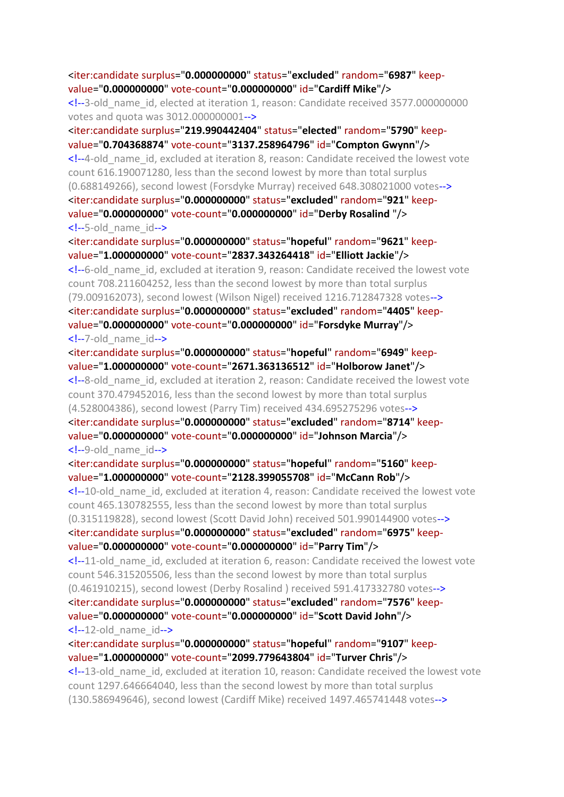# <iter:candidate surplus="**0.000000000**" status="**excluded**" random="**6987**" keepvalue="**0.000000000**" vote-count="**0.000000000**" id="**Cardiff Mike**"/>

<!--3-old\_name\_id, elected at iteration 1, reason: Candidate received 3577.000000000 votes and quota was 3012.000000001-->

<iter:candidate surplus="**219.990442404**" status="**elected**" random="**5790**" keepvalue="**0.704368874**" vote-count="**3137.258964796**" id="**Compton Gwynn**"/> <!--4-old\_name\_id, excluded at iteration 8, reason: Candidate received the lowest vote count 616.190071280, less than the second lowest by more than total surplus (0.688149266), second lowest (Forsdyke Murray) received 648.308021000 votes--> <iter:candidate surplus="**0.000000000**" status="**excluded**" random="**921**" keepvalue="**0.000000000**" vote-count="**0.000000000**" id="**Derby Rosalind** "/> <!--5-old\_name\_id-->

<iter:candidate surplus="**0.000000000**" status="**hopeful**" random="**9621**" keepvalue="**1.000000000**" vote-count="**2837.343264418**" id="**Elliott Jackie**"/>

<!--6-old\_name\_id, excluded at iteration 9, reason: Candidate received the lowest vote count 708.211604252, less than the second lowest by more than total surplus (79.009162073), second lowest (Wilson Nigel) received 1216.712847328 votes--> <iter:candidate surplus="**0.000000000**" status="**excluded**" random="**4405**" keepvalue="**0.000000000**" vote-count="**0.000000000**" id="**Forsdyke Murray**"/> <!--7-old\_name\_id-->

<iter:candidate surplus="**0.000000000**" status="**hopeful**" random="**6949**" keepvalue="**1.000000000**" vote-count="**2671.363136512**" id="**Holborow Janet**"/> <!--8-old\_name\_id, excluded at iteration 2, reason: Candidate received the lowest vote count 370.479452016, less than the second lowest by more than total surplus (4.528004386), second lowest (Parry Tim) received 434.695275296 votes--> <iter:candidate surplus="**0.000000000**" status="**excluded**" random="**8714**" keepvalue="**0.000000000**" vote-count="**0.000000000**" id="**Johnson Marcia**"/> <!--9-old\_name\_id-->

<iter:candidate surplus="**0.000000000**" status="**hopeful**" random="**5160**" keepvalue="**1.000000000**" vote-count="**2128.399055708**" id="**McCann Rob**"/> <!--10-old\_name\_id, excluded at iteration 4, reason: Candidate received the lowest vote count 465.130782555, less than the second lowest by more than total surplus (0.315119828), second lowest (Scott David John) received 501.990144900 votes--> <iter:candidate surplus="**0.000000000**" status="**excluded**" random="**6975**" keepvalue="**0.000000000**" vote-count="**0.000000000**" id="**Parry Tim**"/>

 $\leq$  -11-old name id, excluded at iteration 6, reason: Candidate received the lowest vote count 546.315205506, less than the second lowest by more than total surplus (0.461910215), second lowest (Derby Rosalind ) received 591.417332780 votes--> <iter:candidate surplus="**0.000000000**" status="**excluded**" random="**7576**" keepvalue="**0.000000000**" vote-count="**0.000000000**" id="**Scott David John**"/>  $\leq$  --12-old name  $id$ -->

<iter:candidate surplus="**0.000000000**" status="**hopeful**" random="**9107**" keepvalue="**1.000000000**" vote-count="**2099.779643804**" id="**Turver Chris**"/>

<!--13-old\_name\_id, excluded at iteration 10, reason: Candidate received the lowest vote count 1297.646664040, less than the second lowest by more than total surplus (130.586949646), second lowest (Cardiff Mike) received 1497.465741448 votes-->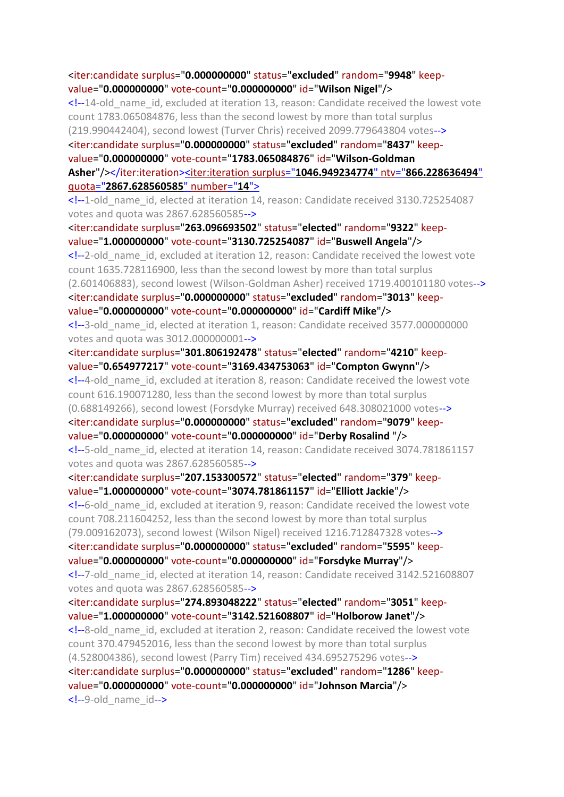<iter:candidate surplus="**0.000000000**" status="**excluded**" random="**9948**" keepvalue="**0.000000000**" vote-count="**0.000000000**" id="**Wilson Nigel**"/> <!--14-old\_name\_id, excluded at iteration 13, reason: Candidate received the lowest vote count 1783.065084876, less than the second lowest by more than total surplus (219.990442404), second lowest (Turver Chris) received 2099.779643804 votes--> <iter:candidate surplus="**0.000000000**" status="**excluded**" random="**8437**" keepvalue="**0.000000000**" vote-count="**1783.065084876**" id="**Wilson-Goldman Asher**"/></iter:iteration><iter:iteration surplus="**[1046.949234774](file:///C:/Program%20Files%20(x86)/STVCalculator/STVR/STV_Result_Election_KapitiCoastDistrictCouncil_Issue_AtLarge-Districtwide14_10_2019111641AM_N.xml)**" ntv="**866.228636494**" quota="**[2867.628560585](file:///C:/Program%20Files%20(x86)/STVCalculator/STVR/STV_Result_Election_KapitiCoastDistrictCouncil_Issue_AtLarge-Districtwide14_10_2019111641AM_N.xml)**" number="**14**"> <!--1-old\_name\_id, elected at iteration 14, reason: Candidate received 3130.725254087 votes and quota was 2867.628560585--> <iter:candidate surplus="**263.096693502**" status="**elected**" random="**9322**" keepvalue="**1.000000000**" vote-count="**3130.725254087**" id="**Buswell Angela**"/> <!--2-old\_name\_id, excluded at iteration 12, reason: Candidate received the lowest vote count 1635.728116900, less than the second lowest by more than total surplus (2.601406883), second lowest (Wilson-Goldman Asher) received 1719.400101180 votes--> <iter:candidate surplus="**0.000000000**" status="**excluded**" random="**3013**" keepvalue="**0.000000000**" vote-count="**0.000000000**" id="**Cardiff Mike**"/> <!--3-old\_name\_id, elected at iteration 1, reason: Candidate received 3577.000000000 votes and quota was 3012.000000001--> <iter:candidate surplus="**301.806192478**" status="**elected**" random="**4210**" keepvalue="**0.654977217**" vote-count="**3169.434753063**" id="**Compton Gwynn**"/> <!--4-old\_name\_id, excluded at iteration 8, reason: Candidate received the lowest vote count 616.190071280, less than the second lowest by more than total surplus (0.688149266), second lowest (Forsdyke Murray) received 648.308021000 votes--> <iter:candidate surplus="**0.000000000**" status="**excluded**" random="**9079**" keepvalue="**0.000000000**" vote-count="**0.000000000**" id="**Derby Rosalind** "/> <!--5-old\_name\_id, elected at iteration 14, reason: Candidate received 3074.781861157 votes and quota was 2867.628560585--> <iter:candidate surplus="**207.153300572**" status="**elected**" random="**379**" keepvalue="**1.000000000**" vote-count="**3074.781861157**" id="**Elliott Jackie**"/> <!--6-old\_name\_id, excluded at iteration 9, reason: Candidate received the lowest vote count 708.211604252, less than the second lowest by more than total surplus (79.009162073), second lowest (Wilson Nigel) received 1216.712847328 votes--> <iter:candidate surplus="**0.000000000**" status="**excluded**" random="**5595**" keepvalue="**0.000000000**" vote-count="**0.000000000**" id="**Forsdyke Murray**"/> <!--7-old\_name\_id, elected at iteration 14, reason: Candidate received 3142.521608807 votes and quota was 2867.628560585--> <iter:candidate surplus="**274.893048222**" status="**elected**" random="**3051**" keepvalue="**1.000000000**" vote-count="**3142.521608807**" id="**Holborow Janet**"/> <!--8-old\_name\_id, excluded at iteration 2, reason: Candidate received the lowest vote count 370.479452016, less than the second lowest by more than total surplus (4.528004386), second lowest (Parry Tim) received 434.695275296 votes--> <iter:candidate surplus="**0.000000000**" status="**excluded**" random="**1286**" keepvalue="**0.000000000**" vote-count="**0.000000000**" id="**Johnson Marcia**"/> <!--9-old\_name\_id-->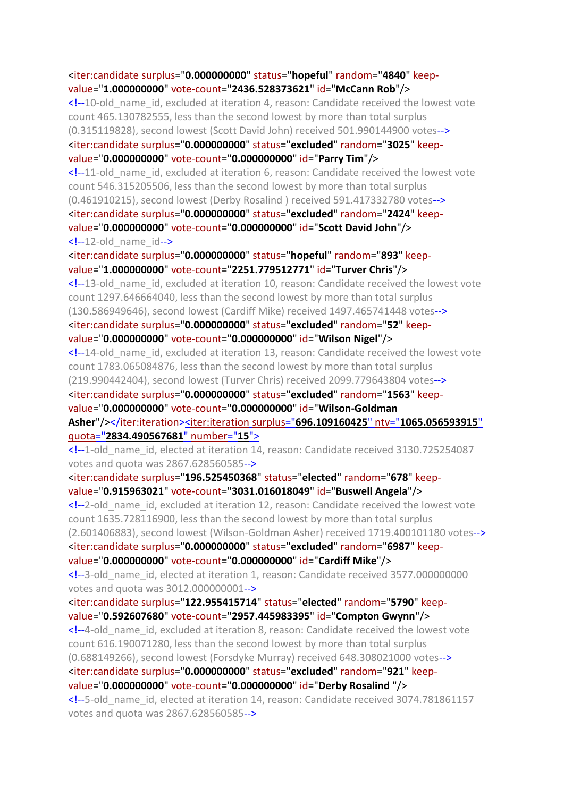<iter:candidate surplus="**0.000000000**" status="**hopeful**" random="**4840**" keepvalue="**1.000000000**" vote-count="**2436.528373621**" id="**McCann Rob**"/> <!--10-old\_name\_id, excluded at iteration 4, reason: Candidate received the lowest vote count 465.130782555, less than the second lowest by more than total surplus (0.315119828), second lowest (Scott David John) received 501.990144900 votes--> <iter:candidate surplus="**0.000000000**" status="**excluded**" random="**3025**" keepvalue="**0.000000000**" vote-count="**0.000000000**" id="**Parry Tim**"/> <!--11-old\_name\_id, excluded at iteration 6, reason: Candidate received the lowest vote count 546.315205506, less than the second lowest by more than total surplus (0.461910215), second lowest (Derby Rosalind ) received 591.417332780 votes--> <iter:candidate surplus="**0.000000000**" status="**excluded**" random="**2424**" keepvalue="**0.000000000**" vote-count="**0.000000000**" id="**Scott David John**"/>  $\langle -12 \text{-old} \rangle$  name  $id \rightarrow$ <iter:candidate surplus="**0.000000000**" status="**hopeful**" random="**893**" keepvalue="**1.000000000**" vote-count="**2251.779512771**" id="**Turver Chris**"/> <!--13-old\_name\_id, excluded at iteration 10, reason: Candidate received the lowest vote count 1297.646664040, less than the second lowest by more than total surplus (130.586949646), second lowest (Cardiff Mike) received 1497.465741448 votes--> <iter:candidate surplus="**0.000000000**" status="**excluded**" random="**52**" keepvalue="**0.000000000**" vote-count="**0.000000000**" id="**Wilson Nigel**"/> <!--14-old\_name\_id, excluded at iteration 13, reason: Candidate received the lowest vote count 1783.065084876, less than the second lowest by more than total surplus (219.990442404), second lowest (Turver Chris) received 2099.779643804 votes--> <iter:candidate surplus="**0.000000000**" status="**excluded**" random="**1563**" keepvalue="**0.000000000**" vote-count="**0.000000000**" id="**Wilson-Goldman Asher**"/></iter:iteration><iter:iteration surplus="**696.109160425**" ntv="**[1065.056593915](file:///C:/Program%20Files%20(x86)/STVCalculator/STVR/STV_Result_Election_KapitiCoastDistrictCouncil_Issue_AtLarge-Districtwide14_10_2019111641AM_N.xml)**" quota="**[2834.490567681](file:///C:/Program%20Files%20(x86)/STVCalculator/STVR/STV_Result_Election_KapitiCoastDistrictCouncil_Issue_AtLarge-Districtwide14_10_2019111641AM_N.xml)**" number="**15**"> <!--1-old\_name\_id, elected at iteration 14, reason: Candidate received 3130.725254087 votes and quota was 2867.628560585--> <iter:candidate surplus="**196.525450368**" status="**elected**" random="**678**" keepvalue="**0.915963021**" vote-count="**3031.016018049**" id="**Buswell Angela**"/> <!--2-old\_name\_id, excluded at iteration 12, reason: Candidate received the lowest vote count 1635.728116900, less than the second lowest by more than total surplus (2.601406883), second lowest (Wilson-Goldman Asher) received 1719.400101180 votes--> <iter:candidate surplus="**0.000000000**" status="**excluded**" random="**6987**" keepvalue="**0.000000000**" vote-count="**0.000000000**" id="**Cardiff Mike**"/> <!--3-old\_name\_id, elected at iteration 1, reason: Candidate received 3577.000000000 votes and quota was 3012.000000001--> <iter:candidate surplus="**122.955415714**" status="**elected**" random="**5790**" keepvalue="**0.592607680**" vote-count="**2957.445983395**" id="**Compton Gwynn**"/> <!--4-old\_name\_id, excluded at iteration 8, reason: Candidate received the lowest vote count 616.190071280, less than the second lowest by more than total surplus (0.688149266), second lowest (Forsdyke Murray) received 648.308021000 votes--> <iter:candidate surplus="**0.000000000**" status="**excluded**" random="**921**" keepvalue="**0.000000000**" vote-count="**0.000000000**" id="**Derby Rosalind** "/> <!--5-old\_name\_id, elected at iteration 14, reason: Candidate received 3074.781861157 votes and quota was 2867.628560585-->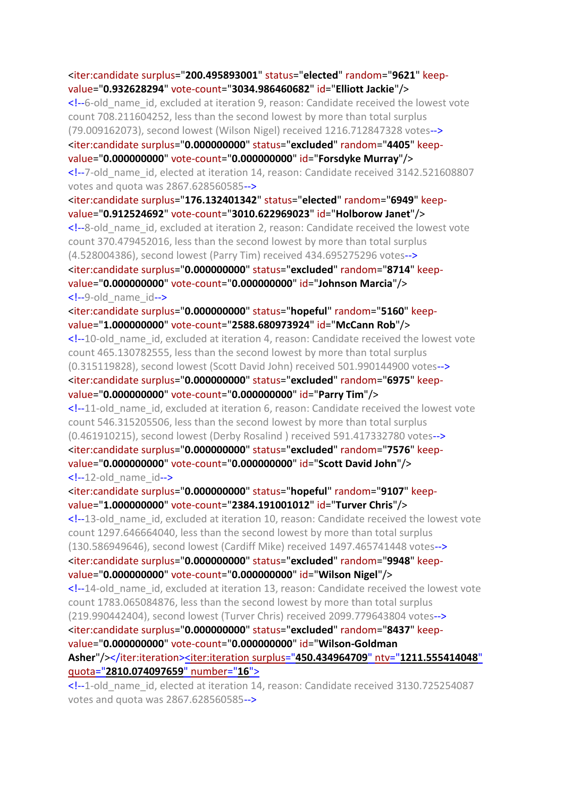<iter:candidate surplus="**200.495893001**" status="**elected**" random="**9621**" keepvalue="**0.932628294**" vote-count="**3034.986460682**" id="**Elliott Jackie**"/> <!--6-old\_name\_id, excluded at iteration 9, reason: Candidate received the lowest vote count 708.211604252, less than the second lowest by more than total surplus (79.009162073), second lowest (Wilson Nigel) received 1216.712847328 votes--> <iter:candidate surplus="**0.000000000**" status="**excluded**" random="**4405**" keepvalue="**0.000000000**" vote-count="**0.000000000**" id="**Forsdyke Murray**"/> <!--7-old\_name\_id, elected at iteration 14, reason: Candidate received 3142.521608807 votes and quota was 2867.628560585--> <iter:candidate surplus="**176.132401342**" status="**elected**" random="**6949**" keepvalue="**0.912524692**" vote-count="**3010.622969023**" id="**Holborow Janet**"/> <!--8-old\_name\_id, excluded at iteration 2, reason: Candidate received the lowest vote count 370.479452016, less than the second lowest by more than total surplus (4.528004386), second lowest (Parry Tim) received 434.695275296 votes--> <iter:candidate surplus="**0.000000000**" status="**excluded**" random="**8714**" keepvalue="**0.000000000**" vote-count="**0.000000000**" id="**Johnson Marcia**"/> <!--9-old\_name\_id--> <iter:candidate surplus="**0.000000000**" status="**hopeful**" random="**5160**" keepvalue="**1.000000000**" vote-count="**2588.680973924**" id="**McCann Rob**"/> <!--10-old\_name\_id, excluded at iteration 4, reason: Candidate received the lowest vote count 465.130782555, less than the second lowest by more than total surplus (0.315119828), second lowest (Scott David John) received 501.990144900 votes--> <iter:candidate surplus="**0.000000000**" status="**excluded**" random="**6975**" keepvalue="**0.000000000**" vote-count="**0.000000000**" id="**Parry Tim**"/> <!--11-old\_name\_id, excluded at iteration 6, reason: Candidate received the lowest vote count 546.315205506, less than the second lowest by more than total surplus (0.461910215), second lowest (Derby Rosalind ) received 591.417332780 votes--> <iter:candidate surplus="**0.000000000**" status="**excluded**" random="**7576**" keepvalue="**0.000000000**" vote-count="**0.000000000**" id="**Scott David John**"/>  $\langle -12 \text{-old name id--} \rangle$ <iter:candidate surplus="**0.000000000**" status="**hopeful**" random="**9107**" keepvalue="**1.000000000**" vote-count="**2384.191001012**" id="**Turver Chris**"/> <!--13-old\_name\_id, excluded at iteration 10, reason: Candidate received the lowest vote count 1297.646664040, less than the second lowest by more than total surplus (130.586949646), second lowest (Cardiff Mike) received 1497.465741448 votes--> <iter:candidate surplus="**0.000000000**" status="**excluded**" random="**9948**" keepvalue="**0.000000000**" vote-count="**0.000000000**" id="**Wilson Nigel**"/> <!--14-old\_name\_id, excluded at iteration 13, reason: Candidate received the lowest vote count 1783.065084876, less than the second lowest by more than total surplus (219.990442404), second lowest (Turver Chris) received 2099.779643804 votes--> <iter:candidate surplus="**0.000000000**" status="**excluded**" random="**8437**" keepvalue="**0.000000000**" vote-count="**0.000000000**" id="**Wilson-Goldman Asher**"/></iter:iteration><iter:iteration surplus="**450.434964709**" ntv="**[1211.555414048](file:///C:/Program%20Files%20(x86)/STVCalculator/STVR/STV_Result_Election_KapitiCoastDistrictCouncil_Issue_AtLarge-Districtwide14_10_2019111641AM_N.xml)**" quota="**[2810.074097659](file:///C:/Program%20Files%20(x86)/STVCalculator/STVR/STV_Result_Election_KapitiCoastDistrictCouncil_Issue_AtLarge-Districtwide14_10_2019111641AM_N.xml)**" number="**16**"> <!--1-old\_name\_id, elected at iteration 14, reason: Candidate received 3130.725254087

votes and quota was 2867.628560585-->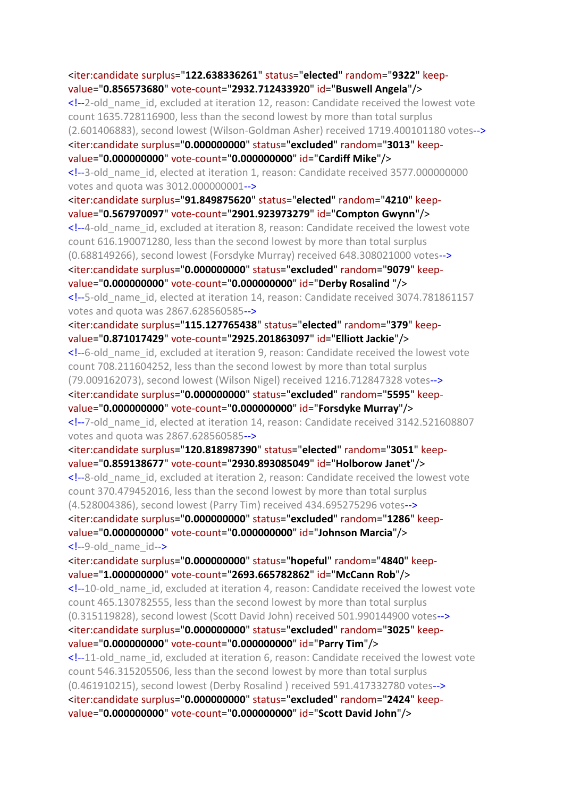<iter:candidate surplus="**122.638336261**" status="**elected**" random="**9322**" keepvalue="**0.856573680**" vote-count="**2932.712433920**" id="**Buswell Angela**"/> <!--2-old\_name\_id, excluded at iteration 12, reason: Candidate received the lowest vote count 1635.728116900, less than the second lowest by more than total surplus (2.601406883), second lowest (Wilson-Goldman Asher) received 1719.400101180 votes--> <iter:candidate surplus="**0.000000000**" status="**excluded**" random="**3013**" keepvalue="**0.000000000**" vote-count="**0.000000000**" id="**Cardiff Mike**"/> <!--3-old\_name\_id, elected at iteration 1, reason: Candidate received 3577.000000000 votes and quota was 3012.000000001--> <iter:candidate surplus="**91.849875620**" status="**elected**" random="**4210**" keepvalue="**0.567970097**" vote-count="**2901.923973279**" id="**Compton Gwynn**"/> <!--4-old\_name\_id, excluded at iteration 8, reason: Candidate received the lowest vote count 616.190071280, less than the second lowest by more than total surplus (0.688149266), second lowest (Forsdyke Murray) received 648.308021000 votes--> <iter:candidate surplus="**0.000000000**" status="**excluded**" random="**9079**" keepvalue="**0.000000000**" vote-count="**0.000000000**" id="**Derby Rosalind** "/> <!--5-old\_name\_id, elected at iteration 14, reason: Candidate received 3074.781861157 votes and quota was 2867.628560585--> <iter:candidate surplus="**115.127765438**" status="**elected**" random="**379**" keepvalue="**0.871017429**" vote-count="**2925.201863097**" id="**Elliott Jackie**"/> <!--6-old\_name\_id, excluded at iteration 9, reason: Candidate received the lowest vote count 708.211604252, less than the second lowest by more than total surplus (79.009162073), second lowest (Wilson Nigel) received 1216.712847328 votes--> <iter:candidate surplus="**0.000000000**" status="**excluded**" random="**5595**" keepvalue="**0.000000000**" vote-count="**0.000000000**" id="**Forsdyke Murray**"/> <!--7-old\_name\_id, elected at iteration 14, reason: Candidate received 3142.521608807 votes and quota was 2867.628560585--> <iter:candidate surplus="**120.818987390**" status="**elected**" random="**3051**" keepvalue="**0.859138677**" vote-count="**2930.893085049**" id="**Holborow Janet**"/> <!--8-old\_name\_id, excluded at iteration 2, reason: Candidate received the lowest vote count 370.479452016, less than the second lowest by more than total surplus (4.528004386), second lowest (Parry Tim) received 434.695275296 votes--> <iter:candidate surplus="**0.000000000**" status="**excluded**" random="**1286**" keepvalue="**0.000000000**" vote-count="**0.000000000**" id="**Johnson Marcia**"/> <!--9-old\_name\_id--> <iter:candidate surplus="**0.000000000**" status="**hopeful**" random="**4840**" keepvalue="**1.000000000**" vote-count="**2693.665782862**" id="**McCann Rob**"/> <!--10-old\_name\_id, excluded at iteration 4, reason: Candidate received the lowest vote count 465.130782555, less than the second lowest by more than total surplus (0.315119828), second lowest (Scott David John) received 501.990144900 votes--> <iter:candidate surplus="**0.000000000**" status="**excluded**" random="**3025**" keepvalue="**0.000000000**" vote-count="**0.000000000**" id="**Parry Tim**"/> <!--11-old\_name\_id, excluded at iteration 6, reason: Candidate received the lowest vote count 546.315205506, less than the second lowest by more than total surplus (0.461910215), second lowest (Derby Rosalind ) received 591.417332780 votes--> <iter:candidate surplus="**0.000000000**" status="**excluded**" random="**2424**" keepvalue="**0.000000000**" vote-count="**0.000000000**" id="**Scott David John**"/>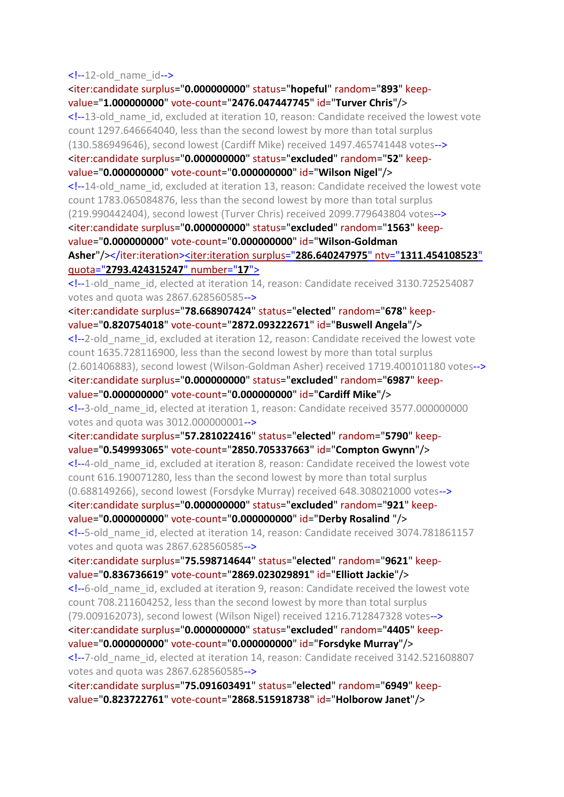$\langle -12 \text{-old} \rangle$  name  $id \rightarrow$ 

<iter:candidate surplus="**0.000000000**" status="**hopeful**" random="**893**" keepvalue="**1.000000000**" vote-count="**2476.047447745**" id="**Turver Chris**"/> <!--13-old\_name\_id, excluded at iteration 10, reason: Candidate received the lowest vote count 1297.646664040, less than the second lowest by more than total surplus (130.586949646), second lowest (Cardiff Mike) received 1497.465741448 votes--> <iter:candidate surplus="**0.000000000**" status="**excluded**" random="**52**" keepvalue="**0.000000000**" vote-count="**0.000000000**" id="**Wilson Nigel**"/> <!--14-old\_name\_id, excluded at iteration 13, reason: Candidate received the lowest vote count 1783.065084876, less than the second lowest by more than total surplus (219.990442404), second lowest (Turver Chris) received 2099.779643804 votes--> <iter:candidate surplus="**0.000000000**" status="**excluded**" random="**1563**" keepvalue="**0.000000000**" vote-count="**0.000000000**" id="**Wilson-Goldman Asher**"/></iter:iteration><iter:iteration surplus="**286.640247975**" ntv="**[1311.454108523](file:///C:/Program%20Files%20(x86)/STVCalculator/STVR/STV_Result_Election_KapitiCoastDistrictCouncil_Issue_AtLarge-Districtwide14_10_2019111641AM_N.xml)**" quota="**[2793.424315247](file:///C:/Program%20Files%20(x86)/STVCalculator/STVR/STV_Result_Election_KapitiCoastDistrictCouncil_Issue_AtLarge-Districtwide14_10_2019111641AM_N.xml)**" number="**17**"> <!--1-old\_name\_id, elected at iteration 14, reason: Candidate received 3130.725254087 votes and quota was 2867.628560585--> <iter:candidate surplus="**78.668907424**" status="**elected**" random="**678**" keepvalue="**0.820754018**" vote-count="**2872.093222671**" id="**Buswell Angela**"/> <!--2-old\_name\_id, excluded at iteration 12, reason: Candidate received the lowest vote count 1635.728116900, less than the second lowest by more than total surplus (2.601406883), second lowest (Wilson-Goldman Asher) received 1719.400101180 votes--> <iter:candidate surplus="**0.000000000**" status="**excluded**" random="**6987**" keepvalue="**0.000000000**" vote-count="**0.000000000**" id="**Cardiff Mike**"/> <!--3-old\_name\_id, elected at iteration 1, reason: Candidate received 3577.000000000 votes and quota was 3012.000000001--> <iter:candidate surplus="**57.281022416**" status="**elected**" random="**5790**" keepvalue="**0.549993065**" vote-count="**2850.705337663**" id="**Compton Gwynn**"/> <!--4-old\_name\_id, excluded at iteration 8, reason: Candidate received the lowest vote count 616.190071280, less than the second lowest by more than total surplus (0.688149266), second lowest (Forsdyke Murray) received 648.308021000 votes--> <iter:candidate surplus="**0.000000000**" status="**excluded**" random="**921**" keepvalue="**0.000000000**" vote-count="**0.000000000**" id="**Derby Rosalind** "/> <!--5-old\_name\_id, elected at iteration 14, reason: Candidate received 3074.781861157 votes and quota was 2867.628560585--> <iter:candidate surplus="**75.598714644**" status="**elected**" random="**9621**" keepvalue="**0.836736619**" vote-count="**2869.023029891**" id="**Elliott Jackie**"/> <!--6-old\_name\_id, excluded at iteration 9, reason: Candidate received the lowest vote count 708.211604252, less than the second lowest by more than total surplus (79.009162073), second lowest (Wilson Nigel) received 1216.712847328 votes--> <iter:candidate surplus="**0.000000000**" status="**excluded**" random="**4405**" keepvalue="**0.000000000**" vote-count="**0.000000000**" id="**Forsdyke Murray**"/> <!--7-old\_name\_id, elected at iteration 14, reason: Candidate received 3142.521608807 votes and quota was 2867.628560585--> <iter:candidate surplus="**75.091603491**" status="**elected**" random="**6949**" keepvalue="**0.823722761**" vote-count="**2868.515918738**" id="**Holborow Janet**"/>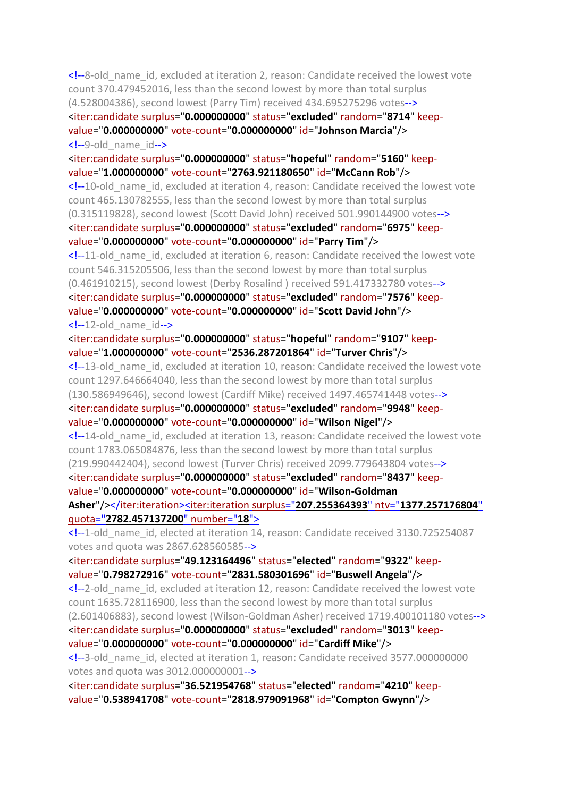<!--8-old\_name\_id, excluded at iteration 2, reason: Candidate received the lowest vote count 370.479452016, less than the second lowest by more than total surplus (4.528004386), second lowest (Parry Tim) received 434.695275296 votes--> <iter:candidate surplus="**0.000000000**" status="**excluded**" random="**8714**" keepvalue="**0.000000000**" vote-count="**0.000000000**" id="**Johnson Marcia**"/> <!--9-old\_name\_id--> <iter:candidate surplus="**0.000000000**" status="**hopeful**" random="**5160**" keepvalue="**1.000000000**" vote-count="**2763.921180650**" id="**McCann Rob**"/> <!--10-old\_name\_id, excluded at iteration 4, reason: Candidate received the lowest vote count 465.130782555, less than the second lowest by more than total surplus (0.315119828), second lowest (Scott David John) received 501.990144900 votes--> <iter:candidate surplus="**0.000000000**" status="**excluded**" random="**6975**" keepvalue="**0.000000000**" vote-count="**0.000000000**" id="**Parry Tim**"/> <!--11-old\_name\_id, excluded at iteration 6, reason: Candidate received the lowest vote count 546.315205506, less than the second lowest by more than total surplus (0.461910215), second lowest (Derby Rosalind ) received 591.417332780 votes--> <iter:candidate surplus="**0.000000000**" status="**excluded**" random="**7576**" keepvalue="**0.000000000**" vote-count="**0.000000000**" id="**Scott David John**"/>  $\langle -12 \text{-old} \rangle$  name  $id \rightarrow$ <iter:candidate surplus="**0.000000000**" status="**hopeful**" random="**9107**" keepvalue="**1.000000000**" vote-count="**2536.287201864**" id="**Turver Chris**"/> <!--13-old\_name\_id, excluded at iteration 10, reason: Candidate received the lowest vote count 1297.646664040, less than the second lowest by more than total surplus (130.586949646), second lowest (Cardiff Mike) received 1497.465741448 votes--> <iter:candidate surplus="**0.000000000**" status="**excluded**" random="**9948**" keepvalue="**0.000000000**" vote-count="**0.000000000**" id="**Wilson Nigel**"/> <!--14-old\_name\_id, excluded at iteration 13, reason: Candidate received the lowest vote count 1783.065084876, less than the second lowest by more than total surplus (219.990442404), second lowest (Turver Chris) received 2099.779643804 votes--> <iter:candidate surplus="**0.000000000**" status="**excluded**" random="**8437**" keepvalue="**0.000000000**" vote-count="**0.000000000**" id="**Wilson-Goldman Asher**"/></iter:iteration><iter:iteration surplus="**207.255364393**" ntv="**[1377.257176804](file:///C:/Program%20Files%20(x86)/STVCalculator/STVR/STV_Result_Election_KapitiCoastDistrictCouncil_Issue_AtLarge-Districtwide14_10_2019111641AM_N.xml)**" quota="**[2782.457137200](file:///C:/Program%20Files%20(x86)/STVCalculator/STVR/STV_Result_Election_KapitiCoastDistrictCouncil_Issue_AtLarge-Districtwide14_10_2019111641AM_N.xml)**" number="**18**"> <!--1-old\_name\_id, elected at iteration 14, reason: Candidate received 3130.725254087 votes and quota was 2867.628560585--> <iter:candidate surplus="**49.123164496**" status="**elected**" random="**9322**" keepvalue="**0.798272916**" vote-count="**2831.580301696**" id="**Buswell Angela**"/> <!--2-old\_name\_id, excluded at iteration 12, reason: Candidate received the lowest vote count 1635.728116900, less than the second lowest by more than total surplus (2.601406883), second lowest (Wilson-Goldman Asher) received 1719.400101180 votes--> <iter:candidate surplus="**0.000000000**" status="**excluded**" random="**3013**" keepvalue="**0.000000000**" vote-count="**0.000000000**" id="**Cardiff Mike**"/> <!--3-old\_name\_id, elected at iteration 1, reason: Candidate received 3577.000000000 votes and quota was 3012.000000001--> <iter:candidate surplus="**36.521954768**" status="**elected**" random="**4210**" keepvalue="**0.538941708**" vote-count="**2818.979091968**" id="**Compton Gwynn**"/>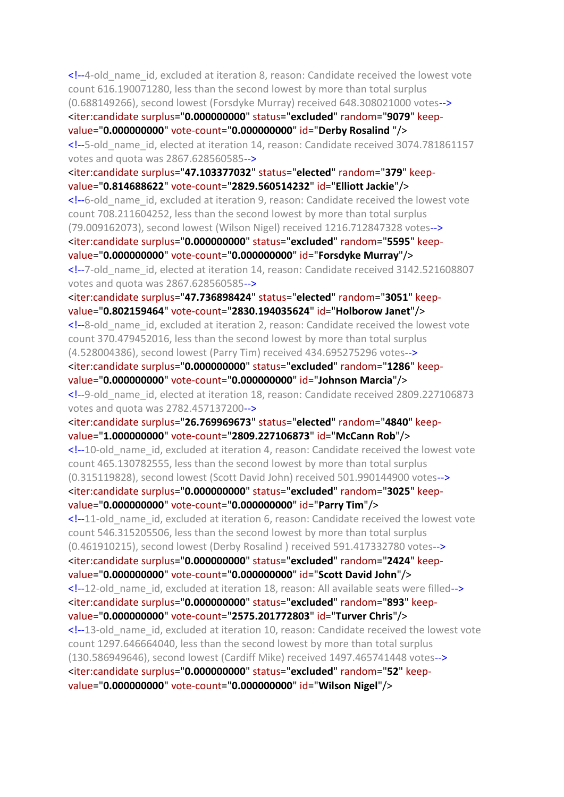<!--4-old\_name\_id, excluded at iteration 8, reason: Candidate received the lowest vote count 616.190071280, less than the second lowest by more than total surplus (0.688149266), second lowest (Forsdyke Murray) received 648.308021000 votes--> <iter:candidate surplus="**0.000000000**" status="**excluded**" random="**9079**" keepvalue="**0.000000000**" vote-count="**0.000000000**" id="**Derby Rosalind** "/> <!--5-old\_name\_id, elected at iteration 14, reason: Candidate received 3074.781861157 votes and quota was 2867.628560585--> <iter:candidate surplus="**47.103377032**" status="**elected**" random="**379**" keepvalue="**0.814688622**" vote-count="**2829.560514232**" id="**Elliott Jackie**"/> <!--6-old\_name\_id, excluded at iteration 9, reason: Candidate received the lowest vote count 708.211604252, less than the second lowest by more than total surplus (79.009162073), second lowest (Wilson Nigel) received 1216.712847328 votes--> <iter:candidate surplus="**0.000000000**" status="**excluded**" random="**5595**" keepvalue="**0.000000000**" vote-count="**0.000000000**" id="**Forsdyke Murray**"/> <!--7-old\_name\_id, elected at iteration 14, reason: Candidate received 3142.521608807 votes and quota was 2867.628560585--> <iter:candidate surplus="**47.736898424**" status="**elected**" random="**3051**" keepvalue="**0.802159464**" vote-count="**2830.194035624**" id="**Holborow Janet**"/> <!--8-old\_name\_id, excluded at iteration 2, reason: Candidate received the lowest vote count 370.479452016, less than the second lowest by more than total surplus (4.528004386), second lowest (Parry Tim) received 434.695275296 votes--> <iter:candidate surplus="**0.000000000**" status="**excluded**" random="**1286**" keepvalue="**0.000000000**" vote-count="**0.000000000**" id="**Johnson Marcia**"/> <!--9-old\_name\_id, elected at iteration 18, reason: Candidate received 2809.227106873 votes and quota was 2782.457137200--> <iter:candidate surplus="**26.769969673**" status="**elected**" random="**4840**" keepvalue="**1.000000000**" vote-count="**2809.227106873**" id="**McCann Rob**"/> <!--10-old\_name\_id, excluded at iteration 4, reason: Candidate received the lowest vote count 465.130782555, less than the second lowest by more than total surplus (0.315119828), second lowest (Scott David John) received 501.990144900 votes--> <iter:candidate surplus="**0.000000000**" status="**excluded**" random="**3025**" keepvalue="**0.000000000**" vote-count="**0.000000000**" id="**Parry Tim**"/> <!--11-old\_name\_id, excluded at iteration 6, reason: Candidate received the lowest vote count 546.315205506, less than the second lowest by more than total surplus (0.461910215), second lowest (Derby Rosalind ) received 591.417332780 votes--> <iter:candidate surplus="**0.000000000**" status="**excluded**" random="**2424**" keepvalue="**0.000000000**" vote-count="**0.000000000**" id="**Scott David John**"/> <!--12-old\_name\_id, excluded at iteration 18, reason: All available seats were filled--> <iter:candidate surplus="**0.000000000**" status="**excluded**" random="**893**" keepvalue="**0.000000000**" vote-count="**2575.201772803**" id="**Turver Chris**"/> <!--13-old\_name\_id, excluded at iteration 10, reason: Candidate received the lowest vote count 1297.646664040, less than the second lowest by more than total surplus (130.586949646), second lowest (Cardiff Mike) received 1497.465741448 votes--> <iter:candidate surplus="**0.000000000**" status="**excluded**" random="**52**" keepvalue="**0.000000000**" vote-count="**0.000000000**" id="**Wilson Nigel**"/>